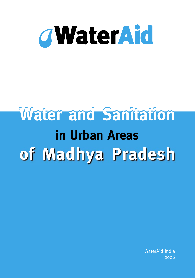

# **in Urban Areas Water and Sanitation of Madhya Pradesh**

WaterAid India 2006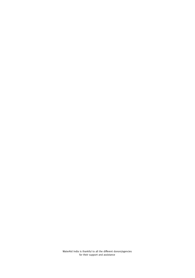WaterAid India is thankful to all the different donors/agencies for their support and assistance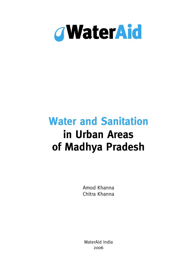

# **Water and Sanitation in Urban Areas of Madhya Pradesh**

Amod Khanna Chitra Khanna

WaterAid India 2006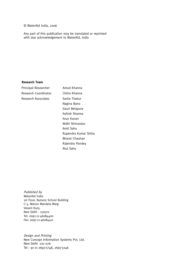© WaterAid India, 2006

Any part of this publication may be translated or reprinted with due acknowledgement to WaterAid, India

#### **Research Team**

Principal Researcher **Amod Khanna** Research Coordinator Chitra Khanna Research Associates Sarita Thakur

Nagina Bano Gauri Belapure Ashish Sharma Arun Kanan Nidhi Shrivastav Amit Sahu Rupendra Kumar Sinha Bharat Chauhan Rajendra Pandey Atul Sahu

Published by WaterAid India 1st Floor, Nursery School Building C-3, Nelson Mandela Marg Vasant Kunj, New Delhi - 110070 Tel: 0091-11-46084400 Fax: 0091-11-46084411

Design and Printing New Concept Information Systems Pvt. Ltd. New Delhi -110 076 Tel : 91-11-26972748, 26973246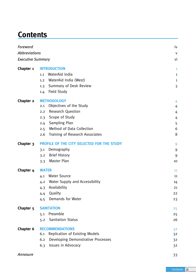# **Contents**

| Foreword             |                                              | iv           |
|----------------------|----------------------------------------------|--------------|
| <b>Abbreviations</b> |                                              | $\mathsf{V}$ |
| Executive Summary    |                                              | vi           |
| Chapter 1            | <b>INTRODUCTION</b>                          | 1            |
|                      | WaterAid India<br>1.1                        | $\mathbf{1}$ |
|                      | WaterAid India (West)<br>1.2                 | $\mathbf{1}$ |
|                      | Summary of Desk Review<br>1.3                | 3            |
|                      | Field Study<br>1.4                           |              |
| Chapter 2            | <b>METHODOLOGY</b>                           | 4            |
|                      | Objectives of the Study<br>2.1               | 4            |
|                      | <b>Research Question</b><br>2.2              | 4            |
|                      | Scope of Study<br>2.3                        | 4            |
|                      | Sampling Plan<br>2.4                         | 5            |
|                      | Method of Data Collection<br>2.5             | 6            |
|                      | Training of Research Associates<br>2.6       | 8            |
| Chapter 3            | PROFILE OF THE CITY SELECTED FOR THE STUDY   |              |
|                      | Demography<br>3.1                            | 9            |
|                      | <b>Brief History</b><br>3.2                  | 9            |
|                      | Master Plan<br>3.3                           | 10           |
| Chapter 4            | <b>WATER</b>                                 | 11           |
|                      | <b>Water Source</b><br>4.1                   | 11           |
|                      | Water Supply and Accessibility<br>4.2        | 14           |
|                      | Availability<br>4.3                          | 21           |
|                      | Quality<br>4.4                               | 22           |
|                      | Demands for Water<br>4.5                     | 23           |
| Chapter <sub>5</sub> | <b>SANITATION</b>                            | 25           |
|                      | Preamble<br>5.1                              | 25           |
|                      | <b>Sanitation Status</b><br>5.2              | 26           |
| <b>Chapter 6</b>     | <b>RECOMMENDATIONS</b>                       | 32           |
|                      | <b>Replication of Existing Models</b><br>6.1 | 32           |
|                      | Developing Demonstrative Processes<br>6.2    | 32           |
|                      | Issues in Advocacy<br>6.3                    | 32           |
| Annexure             |                                              | 33           |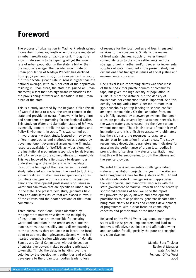# **Foreword**

The process of urbanisation in Madhya Pradesh gained momentum during 1971-1981 when the state registered an urban growth rate of 52.9 per cent. Though the growth rate seems to be tapering off yet the growth rate of urban population in the state is higher than the national average. The decadal growth rate of urban population of Madhya Pradesh has declined from 43.92 per cent in 1991 to 31.19 per cent in 2001, but this decadal growth rate in 2001 is higher than the national average. With 26.6 per cent of the population residing in urban areas, the state has gained an urban character, a fact that has significant implications for the provisioning of water and sanitation in the urban areas of the state.

This is a study launched by the Regional Office (West) of WaterAid India to assess the urban context in the state and provide an overall framework for long term and short term programming for the Regional Office. This study on Water and Sanitation status of MP was essentially done to profile the State, Institutions and Policy Environment, in 2005. This was carried out in two phases – A desk study, focused on reviewing different approaches and methodologies adopted by government/non government agencies, the financial resources available for WATSAN activities along with the institutional mechanism responsible for delivering WATSAN services to the communities and households. This was followed by a field study to deepen our understanding of the sector and which validated most of the findings of the desk review. The desk study reiterated and underlined the need to look into ground realities in urban areas independently so as to initiate dialogue with the state and discussions among the development professionals on issues in water and sanitation that are specific to urban areas in the state. The present field study generates field data and articulates issues that are biased in favour of the citizens and the poorer sections of the urban community.

Three critical institutional issues identified by the report are noteworthy: firstly, the multiplicity of institutions that are responsible for ensuring water and sanitation in the urban areas dilute the administrative responsibility and is disempowering to the citizens as they are unable to locate the focal point to address their grievances. Secondly, the half hearted decentralisation with constitution of Mohalla Samitis and Zonal Committees without delegation of substantive powers makes people's participation tokenistic. Thirdly, the delay in handing over the colonies by the development authorities and private developers to the urban local bodies leads to loss

of revenue for the local bodies and loss in ensured services to the consumers. Similarly, the regime of fixed water charges, supply of water through community taps to the slum settlements and the strategy of going farther and/or deeper for incremental supplies of water identified in the present study has dimensions that transgress issues of social justice and environmental concerns.

One critical issue concerning slums was that most of these had either private sources or community taps, but given the high density of population in slums, it is not the distance but the density of households per connection that is important. And this density per tap varies from 9 per tap to more than 350 households per tap leading to serious conflict amongst communities. On the sanitation front, no city is fully covered by a sewerage system. The larger cities are partially covered by a sewerage network, but the waste water gets released into the river system without treatment. There is also case of multiplicity of institutions and it is difficult to assess who ultimately has the vision and the resources to draw up a master plan for sanitation in urban areas. The study recommends developing parameters and indicators for assessing the performance of urban local bodies in provisioning of services in water and sanitation and that this will be empowering to both the citizens and the service provider.

WaterAid India is implementing challenging urban water and sanitation projects this year in the Western India Programme Office for the 3 states of MP, UP and Chhattisgarh. WaterAid recognises and appreciates the vast financial and manpower resources with the state government of Madhya Pradesh and the centrally sponsored schemes of GoI. We hope the report will provoke the policy makers and development practitioners to take positions, generate debates that bring more clarity to issues and enables development of programmes with a clear focus on community's concerns and participation of the urban poor.

Released on the World Water Day 2006, we hope this study will assist project implementers and lead to improved, effective, sustainable and affordable water and sanitation for all, specially the poor and marginal city slum dwellers.

> Mamita Bora Thakkar Regional Manager WaterAid India Regional Office West 2006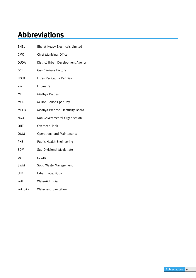# **Abbreviations**

| <b>BHEL</b>   | Bharat Heavy Electricals Limited  |
|---------------|-----------------------------------|
| <b>CMO</b>    | Chief Municipal Officer           |
| <b>DUDA</b>   | District Urban Development Agency |
| GCF           | <b>Gun Carriage Factory</b>       |
| <b>LPCD</b>   | Litres Per Capita Per Day         |
| km            | kilometre                         |
| MP            | Madhya Pradesh                    |
| MGD           | Million Gallons per Day           |
| <b>MPEB</b>   | Madhya Pradesh Electricity Board  |
| <b>NGO</b>    | Non Governmental Organisation     |
| ОНТ           | Overhead Tank                     |
| 0&M           | <b>Operations and Maintenance</b> |
| PHE           | Public Health Engineering         |
| <b>SDM</b>    | Sub Divisional Magistrate         |
| sq            | square                            |
| <b>SWM</b>    | Solid Waste Management            |
| ULB           | Urban Local Body                  |
| WAI           | WaterAid India                    |
| <b>WATSAN</b> | Water and Sanitation              |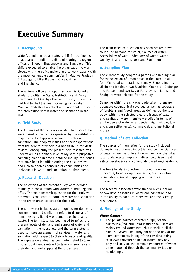# **Executive Summary**

### **1. Background**

WaterAid India made a strategic shift in locating it's headquarter in India to Delhi and starting its regional offices at Bhopal, Bhubaneswar and Bangalore. This shift is expected to enable the organisation to work closely with the policy makers and to work closely with the most vulnerable communities in Madhya Pradesh, Chhattisgarh, Uttar Pradesh, Orissa, Bihar and Jharkhand.

The regional office at Bhopal had commissioned a study to profile the State, Institutions and Policy Environment of Madhya Pradesh in 2005. The study had highlighted the need for recognising urban Madhya Pradesh as a critical and important sub-sector for intervention within water and sanitation in the state.

### **2. Field Study**

The findings of the desk review identified issues that were based on concerns expressed by the institutions responsible for supplying services in water and sanitation. The people's issues and their expectations from the service providers did not figure in the desk review. Consequently the present field research was undertaken as a primary level study with a purposive sampling bias to initiate a detailed inquiry into issues that have been identified during the desk review and also to address concerns of communities and individuals in water and sanitation in urban areas.

# **3. Research Question**

The objectives of the present study were decided mutually in consultation with WaterAid India regional office. The main research question for the study will be: What is the state & status of water and sanitation in the urban areas selected for the study?

The term water includes water required for domestic consumption; and sanitation refers to disposal of human excreta, liquid waste and household solid waste. The term state has been used to reflect the present levels of demand and supply of water and sanitation in the household and the term status is used to make assessment of services in water and sanitation with respect to their adequacy and quality. The expression status has been interpreted to take into account trends related to levels of services and their demand and supply at the urban level.

The main research question has been broken down to include Demand for water; Sources of water; Accessibility of water; Adequacy of water; Water Quality; Institutional Issues; and Sanitation

# **4. Sampling Plan**

The current study adopted a purposive sampling plan for the selection of urban areas in the state. In all four Municipal Corporations, namely, Bhopal, Indore, Ujjain and Jabalpur; two Municipal Councils – Badnagar and Panagar and two Nagar Panchayats – Tarana and Shahpura were selected for the study.

Sampling within the city was undertaken to ensure adequate geographical coverage as well as coverage of 'problem' and 'good' areas as defined by the local body. Within the selected area the issues of water and sanitation were intensively studied in terms of all the users of water – residential (high, middle, low and slum settlements), commercial, and institutional groups.

# **5. Method of Data Collection**

The sources of information for the study included domestic, institutional, industrial and commercial users of water as well as different departments of the urban local body, elected representatives, colonisers, real estate developers and community based organisations.

The tools for data collection included individual interviews, focus group discussions, semi-structured observations, social mapping and historical information.

The research associates were trained over a period of two days on issues in water and sanitation and in the ability to conduct interviews and focus group discussions.

# **6. Findings of the Study**

#### **Water Sources**

The private sources of water supply for the commercial/industrial and institutional users are mainly ground water through tubewell in all the cities surveyed. The study did not find any of the slum settlements in any of the city developing their own (private) source of water. They rely only and only on the community sources of water either supplied through the community taps or handpumps.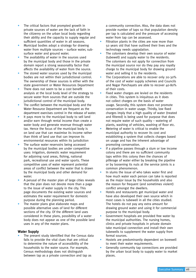- The critical factors that prompted growth in private sources of water are the lack of faith in the citizenry on the urban local body regarding their ability and the capacity to supply regular and sufficient quantities of water in all seasons.
- Municipal bodies adopt a strategy for drawing water from multiple sources – surface water, subsurface water and ground water.
- The availability of water in the sources used by the municipal body and those in the private domain report a strong seasonality factor that affects the availability of water from the source.
- The stored water sources used by the municipal bodies are not within their jurisdictional control. The ownership of these sources is either with the state government or Water Resources Department
- There does not seem to be a cost benefit analysis at the local body level of the strategy to secure water from sources that are outside the jurisdictional control of the municipal body.
- The conflict between the municipal body and the Water Resource Department are frequent as the department exercises control in the release of water.
- It pays more to the municipal body to sell land and/or earn through rental income than create a water body and generate revenue through water tax. Hence the focus of the municipal body is on land use that can maximise its income rather than think of land use that can improve its environmental resources within its jurisdiction
- The surface water reservoirs being accessed by the municipal bodies are under competitive uses: irrigation, domestic water requirement for adjoining rural areas, fishing, national park, recreational use and water sports. These competitive uses of water represent potential areas of conflict between the water that is drawn by the municipal body and other demand for water.
- A perusal of the master plan of large cities reveals that the plan does not devote more than a page to the issue of water supply in the city. This page documents the existing water sources and estimates the water requirement for domestic purpose during the planning period.
- The master plans give elaborate maps and possible alternative uses of land for different sections of the city. Of the different land uses considered in these plans, possibility of a water body does not appear as one of the possible land uses in any of the master plans.

#### **Water Supply**

The present study identified that the Census data fails to provide the vital clues that are critical to determine the nature of accessibility of the households to the water source. For example, Census methodology does not distinguish between tap as a private connection and tap as

a community connection. Also, the data does not provide number of taps so that population density per tap is calculated and the pressure of accessing water from tap can be assessed.

- Filtration plants in the cities are now more than 50 years old that have outlived their lives and the technology needs upgradation.
- The colonisers develop their own source of water (tubewell) and supply water to the residents. The colonisers do not apply for connection from the municipal source nor do they pay any royalty charge to the municipal body for drawing ground water and selling it to the residents.
- The Corporations are able to recover only 20-30% of the cost of water supply schemes and Councils and Nagar Panchayats are able to recover 40-80% of their costs.
- Fixed water charges are levied on the residents in cities. This system is iniquitous as it does not collect charges on the basis of water usage. Secondly, this system does not promote conservation in water usage. Thirdly, low fixed charges imply that a high quality of water (treated and filtered) is being used for purpose that does not require water of such quality – watering of plants, washing of vehicles, washing of floor etc.
- Metering of water is critical to enable the municipal authority to recover its cost and establishing a system that collects charges based on usage and has the inherent advantage of promoting conservation.
- If a pipeline passes through a slum or low income colony and there are no sufficient community taps within this colony then the chances of pilferage of water either by breaking the pipeline or by loosening its nuts at the service joints is a common phenomenon.
- In slums the issue of who takes water first and how much water each person can take is reported as the major issue by the households and also the reason for frequent (and sometimes violent) conflict amongst the dwellers.
- Hotels and restaurants get municipal water and have also developed their own source which in most cases is tubewell in all the cities studied. The hotels do not pay any extra amount for drawing ground water and using it for commercial purpose to the municipal body.
- Government hospitals are provided free water by the municipal authorities. The nursing homes, clinics and private hospitals in private domain take municipal connection and install their own tubewells to supplement the water supply from formal sources.
- Hostels are predominantly dependent on borewell to meet their water requirements.
- Generally community tap connections are provided by the urban local body to supply water to market places.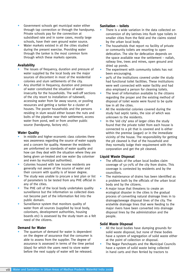- Government schools get municipal water either through tap connection or through the handpump. Private schools pay for the connection at subsidised rate and in some cases, mostly large schools, have their own ground water source.
- Water markets existed in all the cities studied during the present exercise. Providing water through the tanker is the most common form through which these markets operate.

#### **Availability**

- The issues of frequency, duration and pressure of water supplied by the local body are the major sources of discontent in most of the residential colonies and slum settlements of the city.
- Any shortfall in frequency, duration and pressure of water constituted the situation of water insecurity for the households. The well-off sections of the city resort to installation of tubewell, accessing water from far away source, or pooling resources and getting a tanker for a cluster of houses. The poorer households and the persons residing in slum would either loosen the nuts and bolts of the pipeline near their settlement, access water from pond, well or from another public source (handpump, factory etc).

### **Water Quality**

- In middle and higher economic class colonies there was awareness regarding the source of water supply and a concern for quality. However the residents are uninformed on standards of water quality and how can they deal with the situation where they are being given un-treated and raw water (by coloniser and even by municipal authorities).
- Colonies housed with low income residents are generally not aware of the source of water and their concern with quality is of lesser degree.
- The study was unable to procure a test plan or list of parameters to be tested from any PHE official in any of the cities.
- The PHE cell of the local body undertakes quality surveillance but the information so collected does not become part of the information fed into the public domain.
- Surveillance system that monitors quality of water from all sources (supplied by local body, colonisers, development authorities, housing boards etc) is assessed by the study team as a felt need of the citizens.

#### **Demand for Water**

The quantum of demand for water is dependent on the degree of assurance that the consumer is able to assess from the supplier. The degree of assurance is assessed in terms of the time period (days) for which the users need to store water before the next supply of water will be released.

# **Sanitation – toilets**

- There is a wide variation in the data collected on conversion of dry latrines into flush type toilets in smaller cities from the field and the claims stated by the urban local body.
- The households that report no facility of private or community toilets are resorting to open defecation. The site for defecation depends on the space available near the settlement – nallah, railway line, trees and mines, open ground and dried up ponds.
- The experiment with community toilets has not been encouraging.
- 90% of the institutions covered under the study had functional toilet facilities. These institutions were well connected with water facility and had also employed a person for cleaning toilets.
- The level of information available to the citizens regarding the proper and the existing method of disposal of toilet waste were found to be quite low in all the cities.
- All the residential colonies covered during the study had septic tanks, the size of which was unknown to the residents.
- In the 'old city' area of larger cities the study found that the private toilet from each house is connected to a pit that is covered and is either within the premise (aagan) or in the immediate vicinity of the house. The responsibility for getting the pit cleaned is that of the household and they normally lodge their requirement with the corporation and get the pit cleaned.

#### **Liquid Waste Disposal**

- The officials of the urban local bodies claim coverage of 50-70% of the city from drains. This coverage is contested by residents and by the councillors.
- The maintenance of drains has been identified as a problem both by the officials of the urban local body and by the citizens.
- A major issue that threatens to create an ecological disaster in the cities is the gradual process of converting natural drainage lines in to drainage/sewage disposal lines of the city. The erstwhile drainage lines that were feeding to the major rivers have been converted into drainage disposal lines by the administration and the people.

# **Solid Waste Disposal**

- All the local bodies have dumping grounds for solid waste disposal, but none of these bodies have a system of segregation of solid waste either at the point of collection or disposal.
- The Nagar Panchayats and the Municipal Councils have a system of solid waste being collected in hand carts and then ferried by tractors to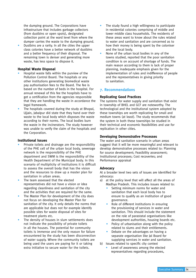the dumping ground. The Corporations have infrastructure that includes garbage collectors (from dustbins or open spots), designated collection point at the ward level from where the dumper carries the waste to the dumping ground.

• Dustbins are a rarity. In all the cities the upper class colonies have a better network of dustbins and a better frequency of their disposal. The remaining town is denser and generating more waste, has less space to dispose it.

#### **Hospital Waste Disposal**

- Hospital waste falls within the purview of the Pollution Control Board. The hospitals or any other institutions generating biomedical waste pay authorisation fees to the Board. The fee is based on the number of beds in the hospital. For annual renewal of this fee the hospitals have to get a certification from the agencies responsible that they are handling the waste in accordance the legal framework.
- The hospitals covered during the study at Bhopal, Ujjain, Jabalpur did state that they hand over their waste to the local body which disposes the waste according to their norms. The local bodies burn the waste in the incinerators. The study however was unable to verify the claim of the hospitals and the Corporation.

#### **Institutional Issues**

- Private toilets and drainage are the responsibility of the PHE cell of the urban local body, sewerage network is the responsibility of the PHE department and SWM is the responsibility of the Health Department of the Municipal body. In this scenario of multiplicity of institutions it is difficult to assess the overall body that has the vision and the resources to draw up a master plan for sanitation in urban areas.
- The team assessed that the elected representatives did not have a vision or idea regarding cleanliness and sanitation of the city and the activities that are required for the same.
- The Master Plan for development of the city does not focus on developing the Master Plan for sanitation of the city. It only details the norms that are applicable but does not for example identify possible sites for waste disposal of sites for treatment plants etc.
- The density of houses in slum settlements does not indicate the possibility of private toilets in all the houses. The potential for community toilets is immense and the only reason for failure encountered by the study has been disconnection of water supply. Where the community toilets are being used the users are paying for it or taking extra initiative to secure water for the toilets.
- The study found a high willingness to participate in residential colonies comprising of middle and lower middle class households. The residents of these areas want to know about the rules related to water and sanitation and are concerned as to how their money is being spent by the coloniser and the local body.
- None of the urban local bodies in any of the towns studied, reported that the poor sanitation condition is on account of shortage of funds. The main reason according to them is lack of proper planning, inadequate emphasis given for the implementation of rules and indifference of people and the representatives in giving priority to sanitation.

#### **7. Recommendations**

#### **Replicating Good Practices**

The systems for water supply and sanitation that exist in township of BHEL and GCF are noteworthy. The technological and the institutional system adopted by these townships are worth replicating for small and medium towns (at least). The study recommends that the system in both these townships be studied in their technical and economic feasibilities and use for replication in other cities.

#### **Developing Demonstrative Processes**

The water and sanitation scenario in urban areas suggest that it will be more meaningful and relevant to develop demonstrative processes related to: Planning for source development; Feasibility assessment; Institutional processes; Cost recoveries; and Performance appraisal

#### **Advocacy**

At a broader level two sets of issues are identified for advocacy:

- a) at the policy level that will affect all the areas of Madhya Pradesh. This includes issues related to:
	- Setting minimum norms for water and sanitation that each local body has to ensure to qualify as an institution of good governance.
	- Role of different institutions in ensuring the provisioning of services in water and sanitation. This should include the statement on the role of parastatal organisations like development authorities, housing boards etc.
	- Policy of urbanisation along with the policy related to slums and their entitlements.
	- Debate on the advantages on having a separate organisation like Jal Board for supplying services in water and sanitation.
- b) Issues related to specific city context
	- Level of awareness among the elected representatives regarding procedures,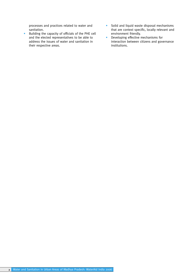processes and practices related to water and sanitation.

- Building the capacity of officials of the PHE cell and the elected representatives to be able to address the issues of water and sanitation in their respective areas.
- Solid and liquid waste disposal mechanisms that are context specific, locally relevant and environment friendly.
- Developing effective mechanisms for interaction between citizens and governance institutions.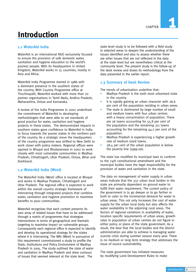# **Introduction**

# **1.1 WaterAid India**

WaterAid is an international NGO exclusively focused to ensure the provision of safe domestic water, sanitation and hygiene education to the world's poorest people. With its headquarters in United Kingdom, WaterAid works in 15 countries, mostly in Asia and Africa.

WaterAid India Programme started in 1986 with a dominant presence in the southern states of the country. With Country Programme office at Tiruchirapalli, WaterAid worked with more than 70 partner organisations in Tamil Nadu, Andhra Pradesh, Maharashtra, Orissa and Karnataka.

A review of the India Programme in 2002 underlined the commitment of WaterAid in developing methodologies that were able to set standards of good practice for water, sanitation and hygiene projects in these states. The demonstrated impacts in southern states gave confidence to WaterAid in India to focus towards the poorer states in the northern part of the country. As a strategic move the headquarters of the country programme was shifted to New Delhi to work closer with policy makers. Regional offices were opened in Bhopal and Bhubaneswar in 2002 to work closely with most vulnerable communities in Madhya Pradesh, Chhattisgarh, Uttar Pradesh, Orissa, Bihar and Jharkhand.

# **1.2 WaterAid India (West)**

The WaterAid India (West) office is located at Bhopal and works in Madhya Pradesh, Chhattisgarh and Uttar Pradesh. The regional office is expected to work within the overall country strategic framework of intervening through integrated projects that combine water, sanitation and hygiene promotion to maximise benefits to poor communities.

WaterAid recognises that each context presents its own array of related issues that have to be addressed through a matrix of programmes that strategise interventions in terms of geographical and thematic targeting to maximise impact on vulnerable groups. Consequently each regional office is expected to identify and develop its operational strategy for the states where it is intervening. The WAI (West) in pursuance of this requirement commissioned a study to profile the State, Institutions and Policy Environment of Madhya Pradesh in 2005. The study outlined the state of water and sanitation in Madhya Pradesh and drew contours of issues that seemed relevant at the state level. The

state level study is to be followed with a field study in selected areas to deepen the understanding of the issues identified and also to assess whether there are other issues that are not reflected in the data at the state level but are nevertheless critical at the community level. The present study is the follow-up of the desk review and draws its methodology from the data presented in the earlier report.

# **1.3 Summary of Desk Review**

The trends of urbanisation underline that:

- Madhya Pradesh is the sixth most urbanised state in the country.
- It is rapidly gaining an urban character with 26.6 per cent of the population residing in urban areas.
- The state is dominated by large number of small and medium towns with four urban centres with a heavy concentration of population. There are 26 towns accounting for 55.8 per cent of the population and the remaining 311 towns accounting for the remaining 44.2 per cent of the population.
- Madhya Pradesh is experiencing a higher growth rate of medium sized towns.
- 38.4 per cent of the urban population is below the poverty line (1999-00).

The state has modified its municipal laws to conform to the 74th constitutional amendment and the municipal bodies have the legal responsibility for the provision of water and sanitation in the state.

The data on management of water supply in urban areas indicate that the 337 urban local bodies in the state are primarily dependent on ground water to fulfill their water requirement. The current policy of the government is to go deeper or to go farther or both to cater to the incremental demand for water in urban areas. This not only increases the cost of water supply for the urban local body but also affects the water availability in the adjoining rural areas. The factors of regional variations in availability of water, location specific requirements of urban areas, growth rates in population of urban centres do not figure in either policy or plans of the state government. As a result, the best that the local bodies and the district administration are able to achieve is managing water scarcity crisis during summer season every year. There is no medium or long term strategy that addresses the issue of source sustainability.

The state government has initiated measures by modifying Land Development Rules to make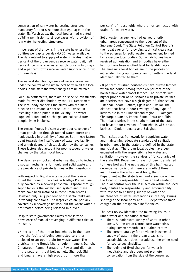construction of rain water harvesting structures mandatory for plot size more than 250 sq m in the state. Till March 2004, the local bodies had granted building permission to 18,256 cases with provision of rain water harvesting structures.

93 per cent of the towns in the state have less than 70 litres per capita per day (LPCD) water available. The data related to supply of water indicates that 63 per cent of the urban centres receive water daily; 28 per cent towns receive water supply once in two days and 9 per cent towns receive water supply once in two or more days.

The water distribution system and water charges are under the control of the urban local body. In all the local bodies in the state the water charges are un-metered.

For slum settlements, there are no specific investments made for water distribution by the PHE Department. The local body connects the slums with the main pipeline and creates a spot source or invests in installing a hand pump in the vicinity. The water supplied is free and no charges are collected from people living in slums.

The census figures indicate a very poor coverage of urban population through tapped water source and inadequacies in proximity of source. Both these factors point towards the insufficiency of water availability and a high degree of dissatisfaction by the consumer. These factors also account for poor recovery of water charges by the urban local body.

The desk review looked at urban sanitation to include disposal mechanisms for liquid and solid waste and the prevalence of private latrines in the households.

With respect to liquid waste disposal the review found that none of the cities in Madhya Pradesh are fully covered by a sewerage system. Disposal through septic tanks is the widely used system and these tanks have been installed in most urban centres. However, only 11-13 per cent of the septic tanks are in working conditions. The larger cities are partially covered by a sewerage network but the waste water is not treated before being released in a river.

Despite state government claims there is wide prevalence of manual scavenging in different cities of the state.

76 per cent of the urban households in the state have the facility of being connected to either a closed or an open drain for waste water. The districts in the Bundelkhand region, namely, Damoh, Chhatarpur, Panna, Satna, and Rewa; and districts in the southern tribal belt namely, Shahdol, Sidhi, and Umaria have a high proportion (more than 35

per cent) of households who are not connected with drains for waste water.

Solid waste management had gained priority in urban areas consequent to the judgment of the Supreme Court. The State Pollution Control Board is the nodal agency for providing technical clearances to the schemes for solid waste management formed by respective local bodies. So far 116 bodies have received authorisation and 65 bodies have either land or have been allotted land for land-fill sites. The remaining local bodies are in the process of either identifying appropriate land or getting the land identified, allotted to them.

68 per cent of urban households have private latrines within the house. Among these 60 per cent of the houses have water closet latrines. The districts with higher proportion of households with private latrines are districts that have a high degree of urbanisation – Bhopal, Indore, Ratlam, Ujjain and Gwalior. The districts that have a poor coverage of any type of latrines are in the Bundelkhand region – Tikamgarh, Chhatarpur, Damoh, Panna, Satna, Rewa and Sidhi. The tribal districts in the southern part of the state too have a poor coverage of households with private latrines – Dindori, Umaria and Balaghat.

The institutional framework for supplying water and maintaining adequate standards of sanitation in urban areas in the state are defined in the state municipal act. The urban local bodies have been entrusted with the responsibility for water and sanitation. However, the services of functionaries of the state PHE Department have not been transferred to these bodies. The net result of this half-hearted decentralisation is that there are in effect three institutions – the urban local body, the PHE Department at the state level, and a section within the local body responsible for water and sanitation. The dual control over the PHE section within the local body dilutes the responsibility and accountability with respect to ensuring supply of water and maintenance of water installations in the city. During shortages the local body and PHE department trade charges on their respective inefficiencies.

The desk review identified the following issues in urban water and sanitation sector:

- There is inadequate supply of water in urban areas. All the urban centres face water crisis during summer months in all urban centres.
- The current strategy for providing incremental supply of water in the urban areas is not sustainable as it does not address the prime need for source sustainability.
- The regime of fixed charges for water is inequitable and also does not promote conservation from the side of the consumer.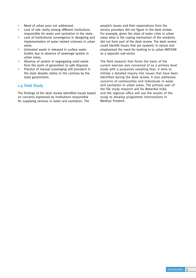- Need of urban poor not addressed.
- Lack of role clarity among different institutions responsible for water and sanitation in the state.
- Lack of institutional convergence in designing and implementation of water related schemes in urban areas.
- Untreated waste is released in surface water bodies due to absence of sewerage system in urban areas.
- Absence of system of segregating solid waste from the point of generation to safe disposal.
- Practice of manual scavenging still prevalent in the state despite claims to the contrary by the state government.

# **1.4 Field Study**

The findings of the desk review identified issues based on concerns expressed by institutions responsible for supplying services in water and sanitation. The

people's issues and their expectations from the service providers did not figure in the desk review. For example, given the state of water crisis in urban areas what is the coping mechanism of the residents did not form part of the desk review. The desk review could identify issues that are systemic in nature and emphasised the need for looking in to urban WATSAN as a separate sub-sector.

The field research that forms the basis of the current exercise was conceived of as a primary level study with a purposive sampling bias. It aims to initiate a detailed inquiry into issues that have been identified during the desk review. It also addresses concerns of communities and individuals in water and sanitation in urban areas. The primary user of the file study research will be WaterAid India and the regional office will use the results of the study to develop programme interventions in Madhya Pradesh.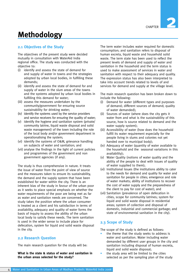# **Methodology**

# **2.1 Objectives of the Study**

The objectives of the present study were decided mutually in consultation with WaterAid India regional office. The study was conducted with the objective to:

- (i) identify and assess the state of demand for and supply of water in towns and the strategies adopted by urban local bodies, in fulfilling these demands;
- (ii) identify and assess the state of demand for and supply of water in the slum areas of the towns and the systems adopted by urban local bodies in fulfilling this demand for water;
- (iii) assess the measures undertaken by the community/government for ensuring source sustainability for drinking water;
- (iv) identify the systems used by the service providers and service receivers for ensuring the quality of water;
- (v) identify the hygiene and sanitation system (private/ community latrine, liquid waste disposal and solid waste management) of the town including the role of the local body and/or government department in operationalising the system;
- (vi) identify the systems of O&M, grievance handling on subjects of water and sanitation; and
- (vii) analyse the findings in the light of current policies and programmes of the government and non government agencies (if any).

The study is thus comprehensive in nature. It treats the issue of water from the point of view of source and the measures taken to ensure its sustainability, the demand and the supply system that have been established for water within the city. There is an inherent bias of the study in favour of the urban poor as it seeks to place special emphasis on whether the water requirements of the poor are being met as far as water and sanitation needs are concerned. The study takes the position where the urban consumer is treated as a client and his satisfaction in terms of availability, adequacy and quality of water forms the basis of inquiry to assess the ability of the urban local body to satisfy these needs. The term sanitation is used in the wider sense to include place for defecation, system for liquid and solid waste disposal in the city.

# **2.2 Research Question**

The main research question for the study will be:

**What is the state & status of water and sanitation in the urban areas selected for the study?** 

The term water includes water required for domestic consumption; and sanitation refers to disposal of human excreta, liquid waste and household solid waste. The term state has been used to reflect the present levels of demand and supply of water and sanitation in the household and the term status is used to make assessment of services in water and sanitation with respect to their adequacy and quality. The expression status has also been interpreted to take into account trends related to levels of and services for demand and supply at the village level.

The main research question has been broken down to include the following:

- (i) Demand for water (different types and purposes of demand; different sources of demand; quality of water demanded);
- (ii) Sources of water (where does the city gets it water from and what is the sustainability of this source, how is source related to demand and the water supply system);
- (iii) Accessibility of water (how does the household fulfill its water requirement especially for the people living in slums and colonies not yet handed over to municipal body);
- (iv) Adequacy of water (quantity of water available to the household and the seasonal variations in this availability);
- (v) Water Quality (notions of water quality and the ability of the people to deal with issues of quality of water supplied to them);
- (vi) Institutional Issues (the institutions ability to cater to the needs for demand and quality for water and sanitation for people in cities; emergence and role of water markets; ability of institutions to recover the cost of water supply and the preparedness of the client to pay for cost of water); and
- (vii) Sanitation (prevalence of open defecation in cities, scope for community latrines; system for liquid and solid waste disposal in residential areas; system of collection and disposal of domestic, industrial and commercial garbage; and state of environmental sanitation in the city).

# **2.3 Scope of Study**

The scope of the study is defined as follows:

- the theme that the study seeks to address is water and sanitation. Water including water demanded by different user groups in the city and sanitation including disposal of human excreta, liquid and solid waste disposal;
- the study area will be limited to the cities selected as per the sampling plan of the study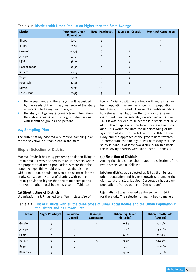| <b>District</b> | <b>Percentage Urban</b><br><b>Population</b> | <b>Nagar Panchayat</b> | <b>Municipal Council</b> | <b>Municipal Corporation</b> |
|-----------------|----------------------------------------------|------------------------|--------------------------|------------------------------|
| Bhopal          | 80.53                                        | 1                      | $\overline{\phantom{a}}$ | 1                            |
| Indore          | 71.57                                        | 9                      | $\overline{\phantom{a}}$ | 1                            |
| Gwalior         | 60.33                                        | 4                      | 1                        | 1                            |
| Jabalpur        | 57.51                                        | 6                      | $\overline{2}$           | 1                            |
| Ujjain          | 38.74                                        | $\overline{2}$         | 4                        | 1                            |
| Hoshangabad     | 30.95                                        | $\overline{2}$         | 4                        |                              |
| Ratlam          | 30.25                                        | 6                      | 1                        | 1                            |
| Sagar           | 29.25                                        | 4                      | 5                        | 1                            |
| Neemuch         | 27.88                                        | 7                      | $\mathbf{1}$             | $\overline{\phantom{a}}$     |
| Dewas           | 27.35                                        | 10                     | ٠                        | 1                            |
| East-Nimar      | 26.95                                        | 5                      | 1                        | 1                            |

#### Table 2.1: **Districts with Urban Population higher than the State Average**

- the assessment and the analysis will be guided by the needs of the primary audience of the study – WaterAid India regional office; and
- the study will generate primary level information through interviews and focus group discussions with identified groups and persons.

# **2.4 Sampling Plan**

The current study adopted a purposive sampling plan for the selection of urban areas in the state.

### **Step 1: Selection of District**

Madhya Pradesh has 26.4 per cent population living in urban areas. It was decided to take up districts where the proportion of urban population is more than the state average. This would ensure that the districts with large urban population would be selected for the study. Consequently a list of districts with per cent urban population higher than the state average and the type of urban local bodies is given in Table 2.1.

#### **(a) Short listing of Districts**

Urbanisation in MP has led to different class size of

towns. A district will have a town with more than 10 lakh population as well as a town with population less than 50 thousand. However the problems related to water and sanitation in the towns in the same district will vary considerably on account of its size. Thus it was decided to select those districts that have all the three types of urban local bodies within their area. This would facilitate the understanding of the systems and issues at each level of the Urban Local Body and the approach of the government towards it. To corroborate the findings it was necessary that the study is done in at least two districts. On this basis the following districts were short listed. (Table 2.2)

#### **(b) Selection of Districts**

Among the six districts short listed the selection of the two districts was as follows:

**Jabalpur district** was selected as it has the highest urban population and highest growth rate among the districts short listed. Jabalpur Corporation has a slum population of 10.05 per cent (Census 2001)

**Ujjain district** was selected as the second district for the study. The selection primarily had to make a

Table 2.2 **List of Districts with all the three types of Urban Local Bodies and the Urban Population in the District and its Growth Rate**

| <b>District</b> | <b>Nagar Panchayat</b> | <b>Municipal</b><br><b>Council</b> | <b>Municipal</b><br><b>Corporation</b> | <b>Urban Population</b><br>(in lakhs) | <b>Urban Growth Rate</b><br>$(1991 - 01)$ |
|-----------------|------------------------|------------------------------------|----------------------------------------|---------------------------------------|-------------------------------------------|
| Gwalior         | 4                      |                                    |                                        | 9.83                                  | 20.80%                                    |
| Jabalpur        | 6                      | $\overline{2}$                     |                                        | 12.46                                 | 23.54%                                    |
| Ujjain          | $\overline{2}$         | 4                                  |                                        | 6.62                                  | 21.15%                                    |
| Ratlam          | 6                      |                                    |                                        | 3.67                                  | 18.62%                                    |
| Sagar           | 4                      |                                    |                                        | 5.91                                  | 22.85%                                    |
| Khandwa         |                        |                                    |                                        | 4.60                                  | 16.78%                                    |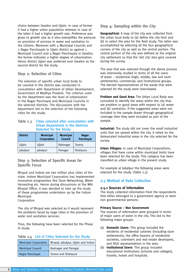choice between Gwalior and Ujjain. In case of former it had a higher urban population whereas in case of the latter it had a higher growth rate. Preference was given to growth rate as it also exemplifies the pressure on provision of services in water and sanitation to the citizens. Moreover with  $\Delta$  Municipal Councils and 2 Nagar Panchayats in Ujjain district as against 1 Municipal Council and 4 Nagar Panchayats in Gwalior, the former indicates a higher degree of urbanisation. Hence district Ujiain was preferred over Gwalior as the second district for the study.

### **Step 2: Selection of Cities**

The selection of specific urban local body to be covered in the district was conducted in consultation with Department of Urban Development, Government of Madhya Pradesh. The criterion used by the department was the level of urbanisation in the Nagar Panchayat and Municipal Councils in the selected districts. The discussions with the department led to the selection of the following cities for the study:

#### Table 2.3 **Cities selected after consultation with Urban Department in the Districts Selected for the Study**

| <b>District</b> | <b>Municipal</b><br><b>Corporation</b> | <b>Municipal</b><br><b>Council</b> | <b>Nagar</b><br>Panchayat |
|-----------------|----------------------------------------|------------------------------------|---------------------------|
| Ujjain          | Ujjain                                 | Badnagar                           | Tarana                    |
| Jabalpur        | Jabalpur                               | Panagar                            | Shahpura                  |

# **Step 3: Selection of Specific Areas for Specific Focus**

Bhopal and Indore are two million plus cities of the state. Indore Municipal Corporation has implemented innovative programmes like Slum Networking, Water Harvesting etc. Hence during discussions at the WAI Bhopal Office, it was decided to take up the study of these programmes undertaken up by the Indore Municipal

Corporation.

The city of Bhopal was selected as it would represent the problems faced by large cities in the provision of water and sanitation services.

Thus, the following have been selected for the Phase III study:

#### Table 2.4 **List of Cities Selected for the Study**

|                          | Municipal Corporation   Bhopal, Jabalpur, Ujjain and Indore |
|--------------------------|-------------------------------------------------------------|
| <b>Municipal Council</b> | Badnagar and Panagar                                        |
| Nagar Panchayat          | Tarana and Shahpura                                         |

### **Step 4: Sampling within the City**

**Geographical:** A map of the city was collected from the urban local body to (a) define the city limit and (b) to select the area for the field study. The latter was accomplished by selecting all the four geographical corners of the city as well as the central portion. The central portion of the city was defined as the original city settlement so that the 'old city' also gets covered during the survey.

The area that was selected through the above process was intensively studied in terms of all the users of water – residential (high, middle, low and slum settlements), commercial, and institutional groups. The elected representatives of the wards that were selected for the study were interviewed.

**Problem and Good Area:** The Urban Local Body was consulted to identify the areas within the city that are problem or good areas with respect to (a) water and (b) sanitation. If the suggested areas were not included in the sample drawn through geographical coverage then they were included as part of the sample.

**Industrial:** The study did not cover the small industrial units that are spread within the city. It relied on the demarcated industrial areas in the city selected for the survey.

**Urban Villages:** In case of Municipal Corporations, villages that have come within municipal limits have been selected for the study. This category has been classified as urban village in the present study.

For example at Jabalpur the following areas were selected for the study. (Table 2.5)

# **2.5 Method of Data Collection**

#### **2.5.1 Sources of Information**

The study collected information from the respondents that either belonged to a government agency or were non governmental persons.

#### **Primary Source – Non Government**

The sources of information were grouped in terms of major users of water in the city. This led to the following major groups:

- (a) **Domestic Users:** This group included the residents of residential colonies (including slum settlements), the office bearers of residential societies, colonisers and real estate developers, and NGO representatives in the area.
- (b) **Institutional Users:** This group included educational institutions (schools and colleges), hostels, hotels and hospitals.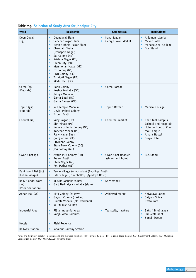|  | Table 2.5 Selection of Study Area for Jabalpur City |  |  |  |  |  |  |
|--|-----------------------------------------------------|--|--|--|--|--|--|
|--|-----------------------------------------------------|--|--|--|--|--|--|

| <b>Ward</b>                                    | <b>Residential</b>                                                                                                                                                                                                                                                                                                           | <b>Commercial</b>                                           | <b>Institutional</b>                                                                                                 |
|------------------------------------------------|------------------------------------------------------------------------------------------------------------------------------------------------------------------------------------------------------------------------------------------------------------------------------------------------------------------------------|-------------------------------------------------------------|----------------------------------------------------------------------------------------------------------------------|
| Deen Dayal<br>(23)                             | Deendayal Slum<br>$\bullet$<br>Sanchar Nagar Slum<br>Behind Bhola Nagar Slum<br>$\bullet$<br>Chandal Bhata<br>$\bullet$<br>(Transport Nagar)<br>Sai Colony (HB)<br>Krishna Nagar (PB)<br>Green City (PB)<br>Manmohan Nagar (MC)<br>$\bullet$<br>ITI Colony (GC)<br>PNB Colony (GC)<br>Tri Murti Nagar (PB)<br>Mado Taal (OC) | Naya Bazaar<br>$\bullet$<br>George Town Market<br>$\bullet$ | Anjuman Islamia<br>Mayur Hotel<br>Mahakaushal College<br><b>Bus Stand</b><br>$\bullet$                               |
| Garha (49)<br>(Fluoride)                       | <b>Bank Colony</b><br>$\bullet$<br>Koshta Mohalla (OC)<br>$\bullet$<br>Jhariya Mohalla<br>$\bullet$<br>Garha Bauli (OC)<br>$\bullet$<br>Garha Bazaar (OC)                                                                                                                                                                    | Garha Bazaar<br>$\bullet$                                   |                                                                                                                      |
| Tripuri (57)<br>(Fluoride)                     | Jain Temple Mohalla<br>$\bullet$<br>Devlal Pahari Colony<br>$\bullet$<br>Tripuri Basti<br>$\bullet$                                                                                                                                                                                                                          | Tripuri Bazaar                                              | <b>Medical College</b>                                                                                               |
| Cherital (12)                                  | Vijay Nagar (PB)<br>$\bullet$<br>Shri Vihaar (PB)<br>$\bullet$<br>Survey of India Colony (GC)<br>Kanchan Vihaar (PB)<br>Rajiv Nagar Slum<br>90 Quarters (GC)<br>Privident Colony<br>$\bullet$<br>State Bank Colony (GC)<br>JDA Colony (MC)                                                                                   | Cheri taal market<br>$\bullet$                              | Cheri taal Campus<br>(school and hospital)<br>Hotel in front of Cheri<br>taal Campus<br>Arhant Hostel<br>Surya Hotel |
| Gwari Ghat (59)                                | Avadh Puri Colony (PB)<br>Purani Basti<br>Bhim Nagar (AB)<br>$\bullet$<br>Poli Pathar (AB)<br>$\bullet$                                                                                                                                                                                                                      | Gwari Ghat (market,<br>ashram and hotel)                    | <b>Bus Stand</b>                                                                                                     |
| Rani Laxmi Bai (60)<br>(Urban Village)         | Temar village (6 mohallas) (Ayodhya Basti)<br>Bita village (10 mohallas) (Ayodhya Basti)                                                                                                                                                                                                                                     |                                                             |                                                                                                                      |
| Rajiv Gandhi ward<br>(24)<br>(Poor Sanitation) | Muslim Mohalla (slum)<br>$\bullet$<br>Ganj Badhaiyya mohalla (slum)                                                                                                                                                                                                                                                          | Shiv Mandir                                                 |                                                                                                                      |
| Adhar Taal (40)                                | Ekta Colony (ex govt)<br>$\bullet$<br>Gayatri Colony (Harijan)<br>Gujrati Mohalla (old residents)<br>Jai Prakash Colony                                                                                                                                                                                                      | Ashirwad market<br>$\bullet$                                | Shivalaya Lodge<br>Satyam Shivam<br>Restaurant                                                                       |
| <b>Industrial Area</b>                         | Rijhai Industrial Area<br>$\bullet$<br>Ranjhi Area Colonies                                                                                                                                                                                                                                                                  | Tea stalls, hawkers                                         | Sakshi Bhojnalaya<br>Pal Restaurant<br>Sonali Sweets                                                                 |
| Hotels                                         | Rishi Regency<br>$\bullet$                                                                                                                                                                                                                                                                                                   |                                                             |                                                                                                                      |
| Railway Station                                | Jabalpur Railway Station<br>$\bullet$                                                                                                                                                                                                                                                                                        |                                                             |                                                                                                                      |

Note: The figures in bracket in column one are the ward numbers; PB= Private Builder; HB= Housing Board Colony; GC= Government Colony; MC= Municipal Corporation Colony; OC= Old City; AB= Ayodhya Basti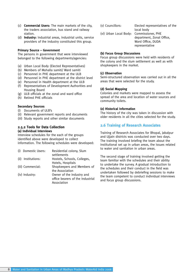- (c) **Commercial Users:** The main markets of the city, the traders association, bus stand and railway station.
- (d) **Industry:** Industrial areas, industrial units, service providers of the industry constituted this group.

#### **Primary Source – Government**

The persons in government that were interviewed belonged to the following departments/agencies:

- (a) Urban Local Body (Elected Representatives)
- (b) Members of Mohalla samiti/ Ward samiti
- (c) Personnel in PHE department at the ULB
- (d) Personnel in PHE department at the district level
- (e) Personnel in Health department at the ULB
- (f) Representatives of Development Authorities and Housing Board
- (g) ULB officials at the zonal and ward office
- (h) Retired PHE officials

#### **Secondary Sources**

- (i) Documents of ULB's
- (ii) Relevant government reports and documents
- (iii) Study reports and other similar documents

#### **2.5.2 Tools for Data Collection (a) Individual Interviews**

Interview schedules for the each of the groups identified above were developed to collect information. The following schedules were developed:

| Hostels, Schools, Colleges,      |
|----------------------------------|
|                                  |
| Shopkeepers and Members of       |
|                                  |
| Owner of the industry and        |
| office bearers of the Industrial |
|                                  |
|                                  |

(v) Councillors: Elected representatives of the local body (vi) Urban Local Body: Commissioner, PHE department, Zonal Office, Ward Office, DUDA representative

#### **(b) Focus Group Discussions**

Focus group discussions were held with residents of the colony and the slum settlement as well as with shopkeepers in the market.

#### **(c) Observation**

Semi-structured observation was carried out in all the areas that were selected for the study.

#### **(d) Social Mapping**

Colonies and markets were mapped to assess the spread of the area and location of water sources and community toilets.

#### **(e) Historical Information**

The history of the city was taken in discussion with older residents in all the cities selected for the study.

### **2.6 Training of Research Associates**

Training of Research Associates for Bhopal, Jabalpur and Ujjain districts was conducted over two days. The training involved briefing the team about the institutional set up in urban areas, the issues related to water and sanitation in urban areas.

The second stage of training involved getting the team familiar with the schedules and their ability to undertake the survey. A gradual introduction to the schedules and their conduct in the field was undertaken followed by debriefing sessions to make the team competent to conduct individual interviews and focus group discussions.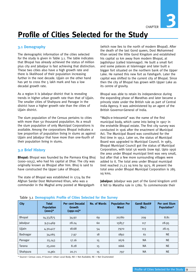CHAPTER

**3**

# **Profile of Cities Selected for the Study**

## **3.1 Demography**

The demographic information of the cities selected for the study is given in Table 3.1. The table indicates that Bhopal has already achieved the status of million plus city and Jabalpur is fast achieving that distinction. These two cities also have a high growth rate and there is likelihood of their population increasing further in the next decade. Ujjain on the other hand has yet to cross the 5 lakh mark and has a low decadal growth rate.

As a region it is Jabalpur district that is revealing trends in higher urban growth rate than that of Ujjain. The smaller cities of Shahpura and Panagar in the district have a higher growth rate than the cities of Ujjain district.

The slum population of the Census pertains to cities with more than 50 thousand population. As a result the slum population of only Municipal Corporations is available. Among the corporations Bhopal indicates a low proportion of population living in slums as against Ujjain and Jabalpur that have more than one-fourth of their population living in slums.

# **3.2 Brief History**

**Bhopal:** Bhopal was founded by the Parmara King Bhoj (1000–1055), who had his capital at Dhar. The city was originally known as Bhojpal after him. Bhoj is said to have constructed the Upper Lake of Bhopal.

The state of Bhopal was established in 1724 by the Afghan Sardar Dost Mohammed Khan, who was a commander in the Mughal army posted at Mangalgarh

(which now lies to the north of modern Bhopal). After the death of the last Gond queen, Dost Mohammed Khan seized the little Gond Kingdom and established his capital 10 km away from modern Bhopal, at Jagdishpur (called Islamnagar). He built a small fort and some palaces at Islamnagar and later built a bigger fort situated on the northern bank of the Upper Lake. He named this new fort as Fatehgarh. Later the capital was shifted to the current city of Bhopal. Since then the city of Bhopal has grown with Upper Lake as its centre of gravity.

Bhopal was able to retain its independence during the expanding phase of Marathas and later became a princely state under the British rule as part of Central India Agency. It was administered by an agent of the British Governor-General of India.

"Majlis-e-Intezamia" was the name of the first municipal body, which came into being in 1907 in the erstwhile Bhopal estate. The first city survey was conducted in 1916 after the enactment of Municipal Act. The Municipal Board was constituted for the first time in 1952. Later on, the status of Municipal Board was upgraded to Municipal Council. In 1983, Bhopal Municipal Council got the status of Municipal Corporation, with total 56 wards (now 69). Upto 1956 the area under Bhopal municipal limit was very small, but after that a few more surrounding villages were added to it. The total area under Bhopal municipal limit reached 71.23 sq kms by 1975. At present the total area under Bhopal Municipal Corporation is 285 sq kms.

**Jabalpur:** Jabalpur was part of the Gond kingdom until it fell to Maratha rule in 1780. To commemorate their

| $\frac{1}{2}$ |                                                 |                                                             |                     |                                      |                       |                                     |
|---------------|-------------------------------------------------|-------------------------------------------------------------|---------------------|--------------------------------------|-----------------------|-------------------------------------|
| <b>City</b>   | <b>Total</b><br><b>Population</b><br>$(2001)^*$ | <b>Per cent Decadal</b><br><b>Growth</b><br>$(1991 - 01)^*$ | <b>No. of Wards</b> | <b>Population Per</b><br><b>Ward</b> | Gandi Basti#<br>(No.) | <b>Per cent Slum</b><br>Population* |
| Bhopal        | 14,33,875                                       | 34.92                                                       | 69                  | 20780                                | 209                   | 8.81                                |
| Jabalpur      | 9,51,469                                        | 28.24                                                       | 60                  | 15857                                | 117                   | 28.95                               |
| Ujjain        | 4,30,427                                        | 18.68                                                       | 54                  | 7970                                 | 113                   | 28.15                               |
| Badnagar      | 34,065                                          | 7.97                                                        | 18                  | 1892                                 | 61                    | <b>NE</b>                           |
| Panagar       | 25,143                                          | 17.16                                                       | 15                  | 1676                                 | <b>NA</b>             | <b>NE</b>                           |
| Tarana        | 25,000                                          | 8.28                                                        | 15                  | 1666                                 | <b>NA</b>             | <b>NE</b>                           |
| Shahpura      | 11,961                                          | 20.71                                                       | 15                  | 797                                  | <b>NA</b>             | <b>NE</b>                           |

### Table 3.1 **Demographic Profile of Cities Selected for the Survey**

\* Source= Census 2001; # Source= Urban Local Body; NA = Not Available; NE = Not Enumerated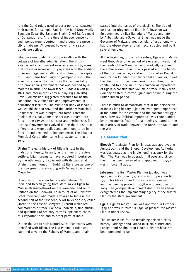rule the Gond rulers used to get a pond constructed in their name, for example Rani Tal (by Rani Durgawati), Sangram Sagar (by Sangram Shah), Cheri Tal (by maid of Durgawati) etc. At the time of independence 52 such ponds were reported in and around the present city of Jabalpur. At present however only 13 such ponds are active.

Jabalpur came under British rule in 1817 with the collapse of Maratha administration. The British established a cantonment over an area of 445 acres that was later increased to 524 acres with the addition of second regiment in 1831 and shifting of the capital of CP and Berar from Sagar to Jabalpur in 1861. The administration of the town was the responsibility of a provisional government that was headed by a Maratha in 1818. The town faced Bundela revolt in 1842 and later in the Sepoy mutiny 1857. In 1863 Royal Commission suggested measures for health, sanitation, civic amenities and improvements in educational facilities. The Municipal Body of Jabalpur was established in 1864 and the Lucknow Municipal Committee Act was brought into force. Later the Punjab Municipal Committee Act was brought into force in the city. As the concept and mechanisms for local self government evolved during the British rule different acts were applied and continued to be in force till India gained its independence. The Jabalpur Municipal Corporation came into existence in June 1950.

**Ujjain:** The early history of Ujjain is lost in the midst of antiquity. As early as the time of the Aryan settlers, Ujjain seems to have acquired importance. By the 6th century B.C. Avanti with its capital at Ujjaini, is mentioned in Buddhist literature as one of the four great powers along with Vatsa, Kosala and Magadha.

Ujjain lay on the main trade route between North India and Deccan going from Mathura via Ujjain to Mahismati (Maheshwar) on the Narmada, and on to Paithan on the Godavari. An account of an unknown Greek merchant who made a voyage to India in the second half of the first century AD talks of a city called Ozene to the east of Barygaza (Broach) which fed commodities of trade like onyx, porcelain, fine muslin and quantities of ordinary cottons, spikenard etc to this important port and to other parts of India.

During the 9th to 12th centuries, the Paramaras were identified with Ujjain. The last Paramara ruler was captured alive by the Sultans of Mandu, and Ujjain

passed into the hands of the Muslims. The tide of destruction triggered by Iltutmish's invasion was first stemmed by Baz Bahadur of Mandu and later by Akbar. Maharaja Sawai Jai Singh was made the Governor of Malwa, a great scholar of astronomy who had the observatory at Ujiain reconstructed and built several temples.

At the beginning of the 17th century, Ujjain and Malwa went through another period of siege and invasion at the hands of the Marathas, who gradually captured the entire region. Ujjain finally passed into the hands of the Scindias in 1750 and until 1810, when Daulat Rao Scindia founded his new capital at Gwalior, it was the chief town of his dominions. The shifting of the capital led to a decline in the commercial importance of Ujjain. A considerable volume of trade mainly with Bombay existed in cotton, grain and opium during the British Indian period.

There is much to demonstrate that in the perspective of India's long history, Ujjain enjoyed great importance in the battle for the empire and the constant struggle for supremacy. Political importance was compounded by the economic factor of Ujjain being situated on the main artery of trade between the North, the South and the West.

## **3.3 Master Plan**

**Bhopal:** The Master Plan for Bhopal was approved in August 1975 and the Bhopal Development Authority was designated as the implementing agency for the Plan. The Plan was in operation till 1991 and since then it has been reviewed and approved in 1995 and was in force till 2005.

**Jabalpur:** The first Master Plan for Jabalpur was approved in October 1977 and was in operation till 1991. This Master Plan for the city was reviewed and has been approved in 1998 was operational till 2005. The Jabalpur Development Authority has been designated as the implementing agency of the Master Plan by the state government.

**Ujjain:** Ujjain's Master Plan was approved in October 1975 and was in force till 1991. At present the Master Plan in under review.

The Master Plans for the remaining selected cities, namely Badnagar and Tarana in Ujjain district and Panagar and Shahpura in Jabalpur district have not been prepared so far.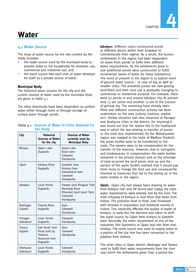# **Water**

# **4.1 Water Source**

The issue of water source for the city covered by the study includes:

- the water source used by the municipal body to provide water to the households for domestic use, commercial and industrial use; and
- the water source that each user of water develops for itself as a private source of water.

# **Municipal Body**

The historical water sources for the city and the current sources of water used by the municipal body are given in Table 4.1.

The cities historically have been dependent on surface water either through rivers or through storage of surface water through ponds.

#### Table 4.1 **Sources of Water in Cities Selected for the Study**

| <b>City</b>            | <b>Historical</b><br><b>Sources of Water</b>                                       | <b>Sources of Water</b><br>currently used by                                                   |
|------------------------|------------------------------------------------------------------------------------|------------------------------------------------------------------------------------------------|
|                        | for the city                                                                       | <b>Municipal Body</b>                                                                          |
| Bhopal                 | Upper Lake<br>Dugwells                                                             | Upper Lake<br>Kolar Dam<br>Tubewell<br>Handpump                                                |
| Ujjain                 | Kshipra River<br>Dugwells                                                          | Gambhir Dam<br>Undasa Dam<br>Sahebkhedi Dam<br>Tubewell<br>Handpump                            |
| Jabalpur               | Local Ponds<br><b>Dugwells</b>                                                     | Pariyat (and Phagua) Tank<br>Narmada River<br>Khandari (and Gaur) Tank<br>Tubewell<br>Handpump |
| Badnagar<br>(Ujjain)   | Chamla River<br>Dugwells                                                           | Dam<br>Tubewell<br>Handpump                                                                    |
| Panagar<br>(Jabalpur)  | Local Ponds<br>Dugwells                                                            | Tubewell<br>Handpump                                                                           |
| Tarana<br>(Ujjain)     | Kali Sindh river<br>Pond built by<br><b>Hollkars</b><br>Seasonal river<br>Dugwells | Dam<br>Tubewell<br>Handpump                                                                    |
| Shahpura<br>(Jabalpur) | Local Ponds<br>Dugwells                                                            | Tubewell<br>Handpump                                                                           |

**Jabalpur:** Different rulers constructed ponds at different places within their kingdom to commemorate their regime. As a result, the human settlements in the region had been dependent on water from ponds to fulfill their different water requirements. As the settlements grew in size additional ponds were constructed to fulfill incremental needs of water for these habitations. The trend at present in the region is to exploit more of ground water source – in case of big as well as smaller cities. The erstwhile ponds are now getting land-filled and their land use is gradually changing to commercial or residential purpose. For example, there were 52 ponds in and around Jabalpur city. At present only 13 are active and another 13 are in the process of getting dry. The remaining have already been filled and different construction activity has been undertaken on the area (colony, stadium, market etc). Similar situation was also observed at Panagar and Shahpura cities in the district. On inquiring it was found out that the reason lies in the haphazard way in which the law relating to transfer of ponds to the state was implemented. As the Mahakaushal region was merged in the state of Madhya Pradesh, the water bodies were to be transferred to the state. The owners were to be compensated for the transfer of the resource. However, due to corruption and inadequacies in compensation the water bodies remained in the private domain and as the shortage of land occurred the land prices shot up and the owners of the water bodies realised that it would pay them more to change the land use and consequently resorted to measures that led to the drying up of the water bodies in the region.

**Ujjain:** Ujjain city had always been drawing its water from Kshipra river and till recent past (1984) the city's water requirements were entirely met by the river. The main tributary of Kshipra is river Khan that flows from Indore. The pollution level in Khan river increased with increase in population and industrial activity in Indore. This adversely affected the quality of water of Kshipra. In early 80s the decision was taken to shift the water source for Ujjain from Kshipra to Gambhir dam. Secondly, the water requirement of one of the industries Shri Synthetics at Ujjain was met from river Undasa. The same source was used to supply water to a portion of the city that has been connected to the pipeline from Undasa.

The other cities in Ujjain district, Badnagar and Tarana, used to fulfill their water requirements from the river near which the settlements grew. Over a period the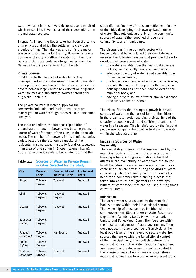water available in these rivers decreased as a result of which these cities have increased their dependence on ground water sources.

**Bhopal:** At Bhopal the Upper Lake has been the centre of gravity around which the settlements grew over a period of time. The lake was and still is the major source of water supply for the city. However of late a portion of the city is getting its water from the Kolar Dam and plans are underway to get water from river Narmada that is 40 kms away from the city.

#### **Private Sources**

In addition to the sources of water tapped by municipal bodies the water users in the city have also developed their own sources. The water sources in the private domain largely relate to exploitation of ground water sources and sub-surface sources through the dug wells (Table 4.2)

The private sources of water supply for the commercial/industrial and institutional users are mainly ground water through tubewells in all the cities surveyed.

The table underlines the fact that exploitation of ground water through tubewells has become the major source of water for most of the users in the domestic sector. The number of tubewells in residential colonies varies, based on the economic capacity of the residents. In some cases the study found 54 tubewells in an area of one sq km in Bhopal (Laxman Nagar). At the same time it needs to be pointed out that the

#### Table 4.2 **Sources of Water in Private Domain in Cities Selected for the Study**

| City                   | Domestic<br><b>Users</b> | <b>Commercial and</b><br><b>Industrial Users</b> | <b>Institutional</b><br><b>Users</b> |
|------------------------|--------------------------|--------------------------------------------------|--------------------------------------|
| Bhopal                 | Tubewell<br>Dugwell      | Tubewell                                         | Tubewell                             |
| Ujjain                 | Tubewell<br>Dugwell      | Tubewell<br>Dugwell                              | Tubewell                             |
| Jabalpur               | Tubewell<br>Dugwell      | Tubewell                                         | Tubewell                             |
| Badnagar<br>(Ujjain)   | Tubewell<br>Dugwell      |                                                  | Tubewell                             |
| Panagar<br>(Jabalpur)  | Tubewell<br>Dugwell      | Handpump                                         | Tubewell                             |
| Tarana<br>(Ujjain)     | Tubewell<br>Dugwell      |                                                  | Tubewell                             |
| Shahpura<br>(Jabalpur) | Tubewell<br>Dugwell      | Tubewell                                         | Tubewell                             |

study did not find any of the slum settlements in any of the cities developing their own (private) source of water. They rely only and only on the community sources of water either supplied through the community taps or handpumps.

The discussions in the domestic sector with households that have installed their own tubewells revealed the following reasons that prompted them to develop their own source of water:

- the water available from the municipal source is not regular, especially during summer season;
- adequate quantity of water is not available from the municipal source;
- the house is not connected with municipal source, because the colony developed by the coloniser/ housing board has not been handed over to the municipal body; and
- having a private source of water provides a sense of security to the household.

The critical factors that prompted growth in private sources of water are the lack of faith of the citizens in the urban local body regarding their ability and the capacity to supply regular and sufficient quantities of water in all seasons. This is reinforced by the fact that people use pumps in the pipeline to draw more water within the stipulated time.

#### **Issues in Sources of Water Seasonality**

The availability of water in the sources used by the municipal body and those in the private domain have reported a strong seasonality factor that affects in the availability of water from the source. In all the cities the water source was either dry or came under severe stress during the drought years of 2002-03. The seasonality factor underlines the need for a comprehensive planning process that takes into account drought years and develops buffers of water stock that can be used during times of water stress.

#### **Jurisdiction**

The stored water sources used by the municipal bodies are not within their jurisdictional control. The ownership of these sources is either with the state government (Upper Lake) or Water Resources Department (Gambhir, Kolar, Pariyat, Khandari, Undasa and Sahebkhedi Dam). The rivers are within the jurisdictional control of state government. There does not seem to be a cost benefit analysis at the local body level of the strategy to secure water from sources that are outside the jurisdictional control of the municipal body. The conflicts between the municipal body and the Water Resource Department are frequent as the department exercises control in the release of water. During times of water stress municipal bodies have to often make representations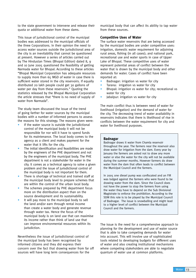to the state government to intervene and release their quota or additional water from these dams.

This issue of jurisdictional control of the municipal bodies was addressed to the municipal officials of the three Corporations. In their opinion the need to access water sources outside the jurisdictional area of the city is an inevitability that cannot be questioned at present. However a series of articles carried out by The Hindustan Times (Bhopal Edition) dated 8, 9 and 10 June 2005 questioned the feasibility of getting Narmada water for Bhopal. According to these articles "Bhopal Municipal Corporation has adequate resources to supply more than 65 MGD of water in case there is sufficient water stored in the city reservoirs. If equally distributed 20 lakh people could get 30 gallons of water per day from these reservoirs." Quoting the statistics released by the Bhopal Municipal Corporation the article stresses that "there is no need of supply of water from Narmada".

The study team discussed the issue of the trend of going farther for water sources by the municipal bodies with a number of informed persons to assess the reasons for this strategy. The reasons given were:

- If the water source is outside the jurisdictional control of the municipal body it will not be responsible for nor will it have to spend funds for its maintenance. The local body comes to the agency as a client and makes payment for the water that it lifts for the city.
- The initial identification and feasibilities are made by the engineers of the PHE department and not by the engineers of the municipal body. The PHE department is not a stakeholder for water in the city. It comes as a technical agency to solve a given problem and the issue of jurisdictional control of the municipal body is not important for them.
- There is shortage of technical and trained staff at the municipal body level to prepare schemes that are within the control of the urban local body.
- The schemes prepared by PHE department focus more on the distribution aspect than on the source development and its sustainability.
- It will pay more to the municipal body to sell the land and/or earn through rental income than create a water body and generate revenue through water tax. Hence the focus of the municipal body is on land use that can maximise its income rather than think of land use that can improve environmental resources within its jurisdiction.

Nevertheless the issue of jurisdictional control of the municipal body has been recognised by informed citizens and they did express their concern over the fact that drawing water from far off sources will have long term consequences for the

municipal body that can affect its ability to tap water from these sources.

#### **Competitive Uses of Water**

The surface water reservoirs that are being accessed by the municipal bodies are under competitive uses: irrigation, domestic water requirement for adjoining rural areas, fishing (in all cases); and national park, recreational use and water sports in case of Upper Lake of Bhopal. These competitive uses of water represent potential areas of conflict between the water that is drawn by the municipal body and other demands for water. Cases of conflict have been reported at:

- Badnagar: irrigation vs water for city
- Tarana: irrigation vs water for city
- Bhopal: irrigation vs water for city; recreational vs water for city
- Jabalpur: irrigation vs water for city

The main conflict thus is between need of water for livelihood (irrigation) and the demand of water for the city. The decreasing trend of water availability in reservoirs indicates that there is likelihood of rise in conflicts between the water requirement for city and water for livelihood purposes.

#### **Badnagar**

Badnagar draws it water from Chamla reservoir throughout the year. The farmers near the reservoir also draw water for irrigation from the dam. Every year by January the farmers are asked not to draw any more water or else the water for the city will not be available during the summer months. However farmers do draw water from the dam that often leads to conflict between the Municipal Council and the farmers.

In 2005 one diesel pump was confiscated and an FIR was lodged against the farmers who were found to be drawing water from the dam. Since the Council does not have the power to stop the farmers from using the water they have to depend on the Sub Divisional Magistrate to enforce the prohibition. According to the SDM this role is to be played by the Municipal Council of Badnagar. The issue is snowballing and might lead to a higher level of conflict between the Municipal Council and the farmers.

The issue is the need for a comprehensive approach to planning for the development and use of water source that is able to take competing demands for water into account. This will involve use of sophisticated tools related to developing budgets for different uses of water and also creating institutional mechanisms where competing stakeholders are able to negotiate quantum of water use at common platforms.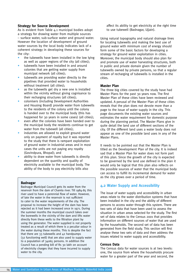#### **Strategy for Source Development**

As is evident from Table 4.1 municipal bodies adopt a strategy for drawing water from multiple sources – surface water, sub-surface water and ground water. However the location of development of ground water sources by the local body indicates lack of a coherent strategy in developing these sources for the city:

- the tubewells have been installed in the low lying as well as upper regions of the city (all cities);
- tubewells have been installed in and around colonies that are getting water supply from municipal network (all cities);
- tubewells are providing water directly to the pipelines that provided water to households without treatment (all cities);
- as the tubewells get dry a new one is installed within the vicinity without giving cognisance to their recharging structures (all cities);
- colonisers (including Development Authorities and Housing Board) provide water from tubewells to the residents of the colony until the colony is handed over to the municipal body (this has happened for 30 years in some cases) (all cities);
- even after the colonies have been handed over to the municipal body the residents continue to get water from the tubewell (all cities);
- industries are allowed to exploit ground water only on payment of royalty but it was reported to the study that there is rampant exploitation of ground water in industrial areas and in most cases the units are not paying any royalty (Govindpura, Bhopal); and
- ability to draw water from tubewells is directly dependent on the quantity and quality of electricity available to the municipal body. The ability of the body to pay electricity bills also

#### **Badnagar**

Badnagar Municipal Council gets its water from the reservoir from the dam of Chamla river. Till 1984-85 this river used to have a perennial flow of water. However, of late the water in the reservoir is not sufficient to cater to the water requirements of the city. The proposal to increase the height of the dam has been rejected as it had been increased once in 1971. During the summer months the municipal council takes over the borewells in the vicinity of the dam and lifts water directly from these wells to the filtration plant by using the generator. The water supplied is not properly treated as a result of which there is a peculiar odour in the water during these months. This is despite the fact that there are 33 tubewells and 42 handpumps (32 functioning well) that are also used to supply water to a population of 34065 persons. In addition the Council has a pending bill of Rs 30 lakh on account of electricity charges that they have incurred to supply water to the city.

affect its ability to get electricity at the right time to use tubewell (Badnagar, Ujiain).

Using natural topography and natural drainage lines for locating tubewells and making the best use of ground water with minimum cost of energy should form some of the basic factors for developing a strategy for ground water exploitation in cities. Moreover, the municipal body should also plan for and promote use of water harvesting structures, both in public and private domain given the number of tubewells owned by private persons, so that a regular stream of recharging of tubewells is installed in the cities.

#### **Master Plan**

The three big cities covered by the study have had Master Plans for the past 30 years now. The first Master Plan of these cities have been reviewed and updated. A perusal of the Master Plan of these cities reveals that the plan does not devote more than a page to the issue of water supply in the city. This page documents the existing water sources and estimates the water requirement for domestic purpose during the planning period. The Master Plans give in quite detail the land use of different sections of the city. Of the different land uses a water body does not appear as one of the possible land uses in any of the Master Plans.

It needs to be pointed out that the Master Plan is titled as the Development Plan of the city. It is indeed sad that a Master Plan for water does not form part of this plan. Since the growth of the city is expected to be governed by the land use defined in the plan it would only be logical that this plan also reflects on the possible sources of water that the municipal body can access to fulfill its incremental demand for water as the city grows over a period of time.

#### **4.2 Water Supply and Accessibility**

The issue of water supply and accessibility in urban areas relate to the water distribution systems that have been installed in the city and the ability of different persons to access water through this system. There are two sets of data that have been used to assess the situation in urban areas selected for the study. The first set of data relates to the Census 2001 that provides information on different sources of water that are used by the households. The second set of data has been generated from the field study. This section will first analyse these two sets of data and then address the issues related to water supply and accessibility.

#### **Census Data**

The Census data for water sources is at two levels: one, the source from where the households procure water for a greater part of the year and second, the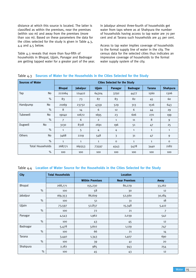distance at which this source is located. The latter is classified as within the premises, near the premises (within 100 m) and away from the premises (more than 100 m). Based on these parameters the data for the cities selected for the study is given in Table 4.3, 4.4 and 4.5 below.

Table 4.3 reveals that more than four-fifth of households in Bhopal, Ujjain, Panagar and Badnagar are getting tapped water for a greater part of the year. In Jabalpur almost three-fourth of households get water from taps where as at Shahpura the number of households having access to tap water are 70 per cent and at Tarana such households are 45 per cent.

Access to tap water implies coverage of households to the formal supply line of water in the city. The census data for the selected cities thus indicates an impressive coverage of households to the formal water supply system of the city.

| <b>Sources of Water</b> |           | <b>Cities Selected for the Study</b> |              |                |                |                 |               |                 |
|-------------------------|-----------|--------------------------------------|--------------|----------------|----------------|-----------------|---------------|-----------------|
|                         |           | <b>Bhopal</b>                        | Jabalpur     | <b>Ujjain</b>  | <b>Panagar</b> | <b>Badnagar</b> | <b>Tarana</b> | <b>Shahpura</b> |
| Tap                     | No        | 222064                               | 124412       | 64304          | 3792           | 4477            | 1560          | 1306            |
|                         | $\%$      | 83                                   | 73           | 87             | 83             | 82              | 45            | 60              |
| Handpump                | No        | 21069                                | 23732        | 4359           | 529            | 313             | 1516          | 643             |
|                         | $\%$      | 8                                    | 14           | 6              | 12             | 6               | 44            | 29              |
| Tubewell                | <b>No</b> | 19040                                | 10672        | 1695           | 23             | 606             | 270           | 199             |
|                         | $\%$      | $\overline{7}$                       | 6            | $\overline{2}$ | $\mathbf{1}$   | 11              | 8             | 9               |
| Dugwell                 | <b>No</b> | 3130                                 | 8318         | 2691           | 196            | 51              | 47            | 25              |
|                         | $\%$      | $\mathbf{1}$                         | 5            | 4              | 4              | 1               | 1             | $\mathbf{1}$    |
| Others                  | No        | 3468                                 | 2219         | 548            | 3              | 31              | 47            | 9               |
|                         | $\%$      | $\mathbf{1}$                         | $\mathbf{1}$ | $\mathbf{1}$   | $\circ$        | $\mathbf{1}$    | 1             | $\mathbf 0$     |
| <b>Total Households</b> |           | 268771                               | 169353       | 73597          | 4543           | 5478            | 3440          | 2182            |
|                         | $\%$      | 100                                  | 100          | 100            | 100            | 100             | 100           | 100             |

#### Table 4.3 **Sources of Water for the Households in the Cities Selected for the Study**

#### Table 4.4 **Location of Water Source for the Households in the Cities Selected for the Study**

| <b>City</b> | <b>Total Households</b> | <b>Location</b>        |                      |        |
|-------------|-------------------------|------------------------|----------------------|--------|
|             |                         | <b>Within Premises</b> | <b>Near Premises</b> | Away   |
| Bhopal      | 268,771                 | 155,230                | 80,279               | 33,262 |
| $\%$        | 100                     | 58                     | 30                   | 12     |
| Jabalpur    | 169,353                 | 86,609                 | 52,560               | 30,184 |
| $\%$        | 100                     | 51                     | 31                   | 18     |
| Ujjain      | 73,597                  | 52,837                 | 15,348               | 5,412  |
| $\%$        | 100                     | 72                     | 21                   | 7      |
| Panagar     | 4,543                   | 1,962                  | 2,039                | 542    |
| $\%$        | 100                     | 43                     | 45                   | 12     |
| Badnagar    | 5,478                   | 3,602                  | 1,129                | 747    |
| $\%$        | 100                     | 66                     | 21                   | 14     |
| Tarana      | 3,440                   | 1,343                  | 1,407                | 690    |
| $\%$        | 100                     | 39                     | 41                   | 20     |
| Shahpura    | 2,182                   | 985                    | 943                  | 254    |
| $\%$        | 100                     | 45                     | 43                   | 12     |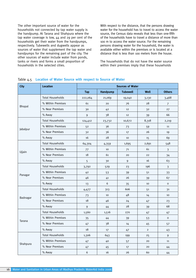The other important source of water for the households not connected by tap water supply is the handpump. At Tarana and Shahpura where the tap water coverage is low, 44 and 29 per cent of the households get their water from the handpumps, respectively. Tubewells and dugwells appear as sources of water that supplement the tap water and handpumps for the remaining part of the city. The other sources of water include water from ponds, tanks or rivers and forms a small proportion of households in the selected cities.

With respect to the distance, that the persons drawing water for the household has to travel to access the water source, the Census data reveals that less than one-fifth of the households have to travel a distance of more than 100 m to access the water source. For the remaining persons drawing water for the household, the water is available either within the premises or is located at a distance that is less than 100 meters from the house.

The households that do not have the water source within their premises imply that these households

| <b>City</b> | <b>Location</b>         | <b>Sources of Water</b> |          |                 |                |               |  |
|-------------|-------------------------|-------------------------|----------|-----------------|----------------|---------------|--|
|             |                         | <b>Tap</b>              | Handpump | <b>Tubewell</b> | Well           | <b>Others</b> |  |
|             | <b>Total Households</b> | 222,064                 | 21,069   | 19,040          | 3,130          | 3,468         |  |
|             | % Within Premises       | 61                      | 20       | 76              | 28             | 7             |  |
| Bhopal      | % Near Premises         | 30                      | 42       | 12              | 32             | 27            |  |
|             | % Away                  | 9                       | 38       | 12              | 39             | 66            |  |
|             | <b>Total Households</b> | 124,412                 | 23,732   | 10,672          | 8,318          | 2,219         |  |
|             | % Within Premises       | 5 <sup>2</sup>          | 36       | 73              | 59             | 11            |  |
| Jabalpur    | % Near Premises         | 32                      | 36       | 17              | 26             | 19            |  |
|             | % Away                  | 16                      | 28       | 10              | 15             | 69            |  |
|             | <b>Total Households</b> | 64,304                  | 4,359    | 1,695           | 2,691          | 548           |  |
|             | % Within Premises       | 77                      | 10       | 71              | 61             | 3             |  |
| Ujjain      | % Near Premises         | 18                      | 61       | 20              | 22             | 34            |  |
|             | % Away                  | 5                       | 30       | 9               | 16             | 63            |  |
|             | <b>Total Households</b> | 3,792                   | 529      | 23              | 196            | 3             |  |
|             | % Within Premises       | 42                      | 53       | 39              | 51             | 33            |  |
| Panagar     | % Near Premises         | 46                      | 41       | 26              | 39             | 67            |  |
|             | % Away                  | 13                      | 6        | 35              | 10             | $\mathsf{o}$  |  |
|             | <b>Total Households</b> | 4,477                   | 313      | 606             | 51             | 31            |  |
|             | % Within Premises       | 73                      | 10       | 48              | 14             | 10            |  |
| Badnagar    | % Near Premises         | 18                      | 46       | 24              | 47             | 23            |  |
|             | % Away                  | 9                       | 44       | 28              | 39             | 68            |  |
|             | <b>Total Households</b> | 1,560                   | 1,516    | 270             | 47             | 47            |  |
|             | % Within Premises       | 35                      | 44       | 39              | 53             | $\mathsf{o}$  |  |
| Tarana      | % Near Premises         | 47                      | 38       | 14              | 45             | 57            |  |
|             | % Away                  | 18                      | 17       | 47              | $\overline{c}$ | 43            |  |
|             | <b>Total Households</b> | 1,306                   | 643      | 199             | 25             | 9             |  |
|             | % Within Premises       | 47                      | 40       | 57              | 20             | 11            |  |
| Shahpura    | % Near Premises         | 47                      | 45       | 17              | 20             | 44            |  |
|             | % Away                  | 6                       | 16       | 26              | 60             | 44            |  |

#### Table 4.5 **Location of Water Source with respect to Source of Water**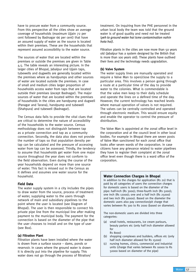have to procure water from a community source. From this perspective all the cities show an average coverage of households (maximum Ujjain 72 per cent followed by Badnagar 66 per cent) that have an assured supply of water as the source is located within their premises. These are the households that represent assured accessibility to the water source.

The sources of water that are located within the premises or outside the premises are given in Table 4.5. The table reveals an interesting picture. In the larger cities of Bhopal, Jabalpur and Ujjain taps, tubewells and dugwells are generally located within the premises where as handpumps and other sources of water are located outside the premises. In case of small and medium cities larger proportion of households access water from taps that are located outside their premises (except Badnagar). The major sources of water that are located within the premises of households in the cities are handpump and dugwell (Panagar and Tarana), handpump and tubewell (Shahpura) and tubewell (Badnagar).

The Census data fails to provide the vital clues that are critical to determine the nature of accessibility of the households to the water source. Census methodology does not distinguish between tap as a private connection and tap as a community connection. Secondly, the data also does not provide the number of taps so that population density per tap can be calculated and the pressure of accessing water from tap can be assessed. Thirdly, the tendency to assume that households get water from one major source throughout the year does not conform to the field observation. Even during the course of the year households depend on more than one source of water. This fact is missed out in the Census as it defines and assumes one water source for the household.

#### **Field Data**

The water supply system in a city includes the pipes to draw water from the source, process of treatment of water, supplying water to the users through network of main and subsidiary pipelines to the point where the user is located (see Diagram of Bhopal). The user is then responsible to connect his private pipe line from the municipal line after making payment to the municipal body. The payment for the connection is based on the diameter of the pipe that the user chooses to install and on the type of user (see Box).

#### **(a) Filtration Plant**

Filtration plants have been installed where the water is drawn from a surface source – dams, ponds or reservoir. In cases where the ground water is drawn it is directly put into the pipeline for supply. This water does not go through the process of filtration/

treatment. On inquiring from the PHE personnel in the urban local body the team was told that the ground water is of good quality and need not be treated (*yeh to ground water hai isme contamination nahin hota hai)*.

Filtration plants in the cities are now more than 50 years old (Jabalpur has a system designed by the British that is more than 100 years old). These plants have outlived their lives and the technology needs upgradation.

#### **(b) Valve System**

The water supply lines are manually operated and require a Valve Man to open/close the supply to a particular area. This involves a person going through a route at a particular time of the day to provide water to the colonies. What is commendable is that the valve men keep to their daily schedule and operate the lines on a defined time of the day. However, the current technology has reached levels where manual operation of valves is not required. The valves can be centrally controlled and operated through electronic medium. This would ensure equity and enable the operator to control the pressure of distribution.

The Valve Man is appointed at the zonal office level in the corporation and at the council level in other local bodies. For example in Bhopal there are seven posts of Valve Man sanctioned for each zonal office that looks after seven wards of the corporation. In case citizens have any grievance related to water pipelines they have to register their complaint at the zonal office level even though there is a ward office of the corporation.

#### **Water Connection Charges in Bhopal**

In addition to the charges for application (Rs 20) that is paid by all categories of users the connection charges for domestic users is based on the diameter of the pipe: half-inch (Rs 3000); three-fourth inch (Rs 5000); one inch (Rs 12000); one and a half inch (Rs 25000) and two inch (Rs 50000). Based on the diameter the domestic users also pay connection/pit charge that varies between Rs 300 to Rs 2000 (based on diameter).

The non-domestic users are divided into three categories:

- (a) small hotels, restaurants, ice cream parlours, beauty parlors etc (only half inch diameter allowed for Rs 8000)
- (b) shopping complexes and builders, offices etc (only half inch diameter allowed for Rs 15000)
- nursing homes, clinics, commercial and industrial units (charge that varies between Rs 10000 to Rs 50000 based on diameter of the pipe)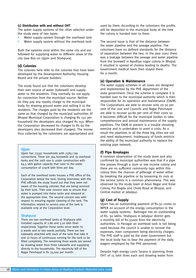#### **(c) Distribution with and without OHT**

The water supply systems of the cities selected under the study were of two types:

- Water supply system through the overhead tank
- Water supply system without the overhead tank

Both the systems exist within the same city and are followed for supplying water to different areas of the city (see Box on Ujjain and Shahpura).

#### **(d) Colonies**

The colonies here refer to the colonies that have been developed by the Development Authority, Housing Board and the private builders.

The study found out that the colonisers develop their own source of water (tubewell) and supply water to the residents. They normally do not apply for connection from the municipal source. Neither do they pay any royalty charge to the municipal body for drawing ground water and selling it to the residents. The charges paid by the residents are the same as that charged by the municipal authorities (if Bhopal Municipal Corporation is charging Rs 150 per household the developers also charged Rs 150. When the Corporation decreased its charges to Rs 60 the developers also decreased their charges). The money thus collected by the colonisers are appropriated and

#### **Ujjain**

Ujjain has 73597 households with 25851 tap connections. There are 364 borewells and 19 overhead tanks and the 20th one is under construction with 64.5 lakh gallon capacity that cater to the water consumption of 17978 lakh litres per day.

Each of the overhead tanks houses a PHE office of the Corporation below the tank. During interviews with the PHE officials the study found out that they were not aware of the housing colonies that are being serviced by their tank. Their sole concern was to ensure that water is pumped into these tanks and released at the appropriate time. The second concern was with respect to ensuring regular cleaning of the tank. The information related to service area of the tank is available only at the Corporation level.

#### **Shahpura**

There are two overhead tanks at Shahpura with installed capacity of 2.86 and 3.20 lakh litres respectively. Together these tanks serve water to 9 wards and to two wards partially. There are two tubewells attached with each of the tank that take 8 and 10 hours of continuous running for the tank to be filled completely. The remaining three wards are served by drawing water from three tubewells and supplying directly to the households. The electricity bill of the Nagar Panchayat is Rs 35,000 per month.

used by them. According to the colonisers the profits will be deposited to the municipal body at the time the colony is handed over to them.

The second issue is that of the distance between the water pipeline and the sewage pipeline. The colonisers have no defined standards for the distance of separation between the two. In the year 2002 there was a leakage between the sewage and water pipeline from the borewell in Ayodhya nagar colony in Bhopal. It resulted in spread of cholera leading to deaths. The Government medical team then stayed there for a month.

#### **(e) Operation & Maintenance**

The water supply schemes in all cases are designed and implemented by the PHE department of the state government. Once the scheme is complete it is handed over to the municipal authority which is then responsible for its operation and maintenance (O&M). The Corporations are able to recover only 20-30 per cent of the cost and Councils and Nagar Panchayat are able to recover 40-80 per cent of their costs so it becomes difficult for the municipal bodies to take comprehensive and annual maintenance of the supply pipelines. The O&M at present is a trouble shooting exercise and is undertaken to avert a crisis. As a result the pipelines in all the three big cities are old and need replacement. Inadequacy of funds restricts the ability of the municipal authority to replace the existing pipe network.

#### **(f) Pipe Breakages**

A common observation of the study team and also confirmed by municipal authorities was that if a pipe line passes through a slum or low income colony and there are no sufficient community taps within this colony then the chances of pilferage of water either by breaking the pipeline or by loosening its nuts at the service joints is a common phenomena. This was observed by the study team at Arjun Nagar and Kolar Colony, Pul Bogda and Chola Road at Bhopal, and Central market at Jabalpur.

#### **(g) Cost of Supply**

Ujjain has an outstanding payment of Rs.30 crores to MPEB on account of the energy consumption in the water supply systems. Badnagar has an outstanding of Rs. 30 lakhs. Shahpura in Jabalpur district gets a monthly bill of Rs.35000 from the electricity authorities. In Panagar an overhead tank is not being used because the council is unable to recover the expenses, main component being electricity charges. The PHE staff is paid by the state Government but the local body has to bear the payment of the daily wagers employed by the PHE personnel.

Despite high energy costs Tarana is planning three OHT of 15 lakh litres each and drawing water from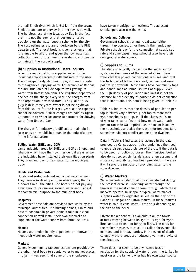the Kali Sindh river which is 6-8 km from the town. Similar plans are underway in other towns as well. The helplessness of the local body lies in the fact that it is not the agency that designs or takes decisions on the water supply scheme for the city. The cost estimates etc are undertaken by the PHE department. The local body is given a scheme that it is unable to afford and given the low water tax collection most of the time it is in deficit and unable to maintain the cost of supply.

#### **(h) Supplies to Institutional Users Industry**

When the municipal body supplies water to the industrial area it charges a different rate to the user. The municipal body also has to pay commercial rate to the agency supplying water. For example at Bhopal the industrial area at Govindpura was getting its water from Hataikheda dam. The irrigation department decides on the charge every year: the charges from the Corporation increased from Rs 1.19 lakh to Rs 3.65 lakh in three years. Water is not being drawn from this source for the last 3-4 years as the expenses cannot be covered. Similar charges are paid by Ujjain Corporation to Water Resource Department for drawing water from Undasa Dam.

The charges for industry are difficult to maintain in case units are established outside the industrial area in the informal sector.

#### **Selling Water (BHEL and GCF)**

Large industrial areas for BHEL and GCF at Bhopal and Jabalpur which have their own residential areas as well the industries have installed their own filtration plants. They draw and pay for raw water to the municipal body.

#### **Hotels and Restaurants**

Hotels and restaurants get municipal water as well. They have also developed their own source, that is tubewells in all the cities. The hotels do not pay any extra amount for drawing ground water and using it for commercial purpose to the municipal body.

#### **Hospitals**

Government hospitals are provided free water by the municipal authorities. The nursing homes, clinics and private hospitals in private domain take municipal connection as well install their own tubewells to supplement the water supply from formal sources.

#### **Hostels**

Hostels are predominantly dependent on borewell to meet their water requirements.

#### **Markets**

Generally community tap connections are provided by the urban local body to supply water to market places. In Ujjain it was seen that some of the shopkeepers

have taken municipal connections. The adjacent shopkeepers also use the water.

#### **Schools and Colleges**

Government schools get municipal water either through tap connection or through the handpump. Private schools pay for the connection at subsidised rate and some cases (large schools) also have their own ground water source.

#### **(i) Supplies to Slums**

The study specifically focused on the water supply system in slum areas of the selected cities. There were very few private connections in slums (and that too to households that were early settlers and were politically powerful). Most slums have community taps and handpumps as formal sources of supply. Given the high density of population in slums it is not the distance but the density of households per connection that is important. This data is being given in Table 4.6

Table 4.6 indicates that the density of population per tap in slums vary between 9 per tap to more than 350 households per tap. In all the slums the issue of who takes water first and how much water each person can take was reported as the major issue by the households and also the reason for frequent (and sometimes violent) conflict amongst the dwellers.

Data in Table 4.6 indicates the lacunae in the data provided by Census 2001. It also underlines the need to get a disaggregated picture of the city if the data is to be used for policy purposes. The municipal bodies also do not collect similar data and often assume that since a community tap has been provided in the area it will serve the purpose of providing water to the slum dwellers.

#### **(i) Water Markets**

Water markets existed in all the cities studied during the present exercise. Providing water through the tanker is the most common form through which these markets operate. In Bhopal a typical water market supplies water to vegetable sellers on the day of the Haat at TT Nagar and Bitton market. In these markets water is sold in cans worth Rs 2 and 5 depending on the size to the seller.

Private tanker service is available in all the towns at rates varying between Rs 150 to Rs 250 for 2500 litres and up to Rs 350 for 3500 litres. The rates for the tanker increases in case it is called for events like marriage and birthday parties. In the event of death ceremony the charges are reduced given the gravity of the situation.

There does not seem to be any license fees or regulation for the supply of water through the tanker. In most cases the tanker owner has his own water source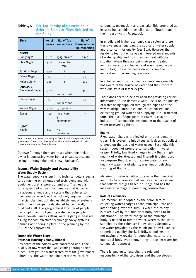#### Table 4.6 **Per Tap Density of Households in Selected Slums in Cities Selected for the Study**

| <b>Slum</b>                        | No. of<br><b>Houses</b> | No. of Tap<br>connections    | No. of<br>Households per<br>tap connection |
|------------------------------------|-------------------------|------------------------------|--------------------------------------------|
| <b>BHOPAL</b><br>Banganga*         | 2820                    | 1315 private                 | 2.144                                      |
| Shiv Nagar                         | 500                     | 2000 litre<br>tank           |                                            |
| Ayodhya Nagar                      | 750                     | $\overline{2}$               | 250                                        |
| Fatma Nagar                        | 150                     | $\overline{2}$               | 75                                         |
| Kolar Colony                       | 700                     | 4                            | 175                                        |
| <b>JABALPUR</b><br>Deendayal Nagar | 700                     | $\mathcal{P}$<br>connections | 350                                        |
| Bhola Nagar                        | 150                     | $\mathcal{P}$<br>connections | 75                                         |
| Rajeev Nagar                       | 700                     | 70 private                   | 10                                         |
| Temar                              | 300                     | 30 private<br>3<br>community | 9                                          |
| <b>UJJAIN</b><br>Nagjhiri          | 150                     | Nο<br>connection             |                                            |

Note: \* refers to a colony comprising of Class III and IV employees of the government. There is an adjoining slum with 2000 households that also comes and draws water from this area.

(tubewell) though there are cases where the tanker owner is purchasing water from a private source and selling it through the tanker (e.g. Badnagar).

#### **Issues: Water Supply and Accessibility Water Supply System**

The water supply system in its technical details seems to be running on an outdated technology and with equipment that is worn out and old. The need is for a system of annual maintenance that is backed by adequate funds and a system that adheres to maintenance schedule. This not only requires prudent financial planning but also establishment of systems within the municipal body staffed by technically qualified staff. The geographical location of people living uphill and not getting water, while people in some downhill areas getting water 24/365 is an issue asking for cost effective technology savvy systems, perhaps not finding a place in the planning by the PHE or the corporation.

### **Domestic Water User Paraspar Housing Colony, Bhopal**

Residents of the colony were concerned about the quality of raw water that was coming through their pipes. They got the water tested from the government laboratory. The water contained excessive calcium

carbonate, magnesium and bacteria. This prompted at least 10 households to install a water filtration unit in their house (worth Rs 10,000).

In middle and higher economic class colonies there was awareness regarding the source of water supply and a concern for quality (see Box). However the residents found themselves uninformed on standards of water quality and how they can deal with the situation where they are being given un-treated and raw water (by coloniser and even by municipal authorities). These residents do not know the implication of consuming raw water.

In colonies with low income, residents are generally not aware of the source of water and their concern with quality is of lesser degree.

There does seem to be any need for providing correct information to the domestic water users on the quality of water being supplied through the pipes and the way municipal authorities and the colonisers are extracting ground water and supplying it in un-treated form. The use of Aquaguard in towns is also an indicator of communities responding to the quality of water received by them.

#### **Equity**

Fixed water charges are levied on the residents in cities. This system is iniquitous as it does not collect charges on the basis of water usage. Secondly, this system does not promote conservation in water usage. Thirdly, low fixed charges imply that a high quality of water (treated and filtered) is being used for purpose that does not require water of such quality – watering of plants, washing of vehicles, washing of floor etc.

Metering of water is critical to enable the municipal authority to recover its cost and establish a system that collects charges based on usage and has the inherent advantage of promoting conservation.

#### **Role of Colonisers**

The mechanism adopted by the colonisers of collecting water charges at the municipal rate and later handing over the surplus when the colony is taken over by the municipal body needs to be questioned. The water charge of the municipal body is related to treated water, whereas the water supplied by the coloniser is raw water. Secondly, the water provided by the municipal body is subject to periodic quality check. Thirdly, colonisers are not paying any royalty for supplying water to the municipal body even though they are using water for commercial purposes.

There is ambiguity regarding the role and responsibility of the colonisers and the developers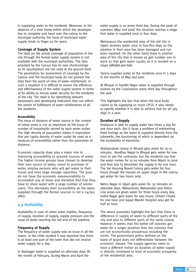in supplying water to the residents. Moreover, in the absence of a time frame within which the developer has to complete and hand over the colony to the municipal authority, the issue of municipal water supply tends to linger on for years.

#### **Coverage of Supply System**

The data on the actual coverage of population in the city through the formal water supply system is not available with the municipal authorities. The data provided by the Census has its own shortcomings as its assumptions are not valid at the ground level. The parameters for assessment of coverage by the Census and the municipal body do not present the data from the point of view of water entitlement. In such a situation it is difficult to assess the efficiency and effectiveness of the water supply system in terms of its ability to ensure water security for the residents of the city. The need is for identifying relevant parameters and developing indicators that can reflect the extent of fulfillment of water entitlements of all the residents.

#### **Accessibility**

The issue of distance of water source in the context of urban areas is not as important as the issue of number of households served by each water outlet. The high density of population makes it imperative that per capita density of water outlet be used as a measure of accessibility rather than the parameter of distance.

Economic capacity does play a major role in improving accessibility to assured sources of water. The higher income groups have chosen to develop their own source of water, resort to purchase of water, employ persons who will get water to their house and have large storage capacities. The poor do not have the economic manoeuvrability to accomplish any of these and therefore find that they have to share water with a large number of similar users. This decreases their accessibility as the water supplied through the formal sources is not a 24/365 affair.

#### **4.3 Availability**

Availability in case of urban areas implies, frequency of supply, duration of supply, supply pressure and the issue of water reaching the tail end of the pipeline.

#### **Frequency of Supply**

The frequency of water supply was an issue in all the towns. In the cities studied it was reported that there is at least one part of the town that did not receive water supply for a day.

In Badnagar water is supplied on alternate days till the month of February. During March and April the

water supply is on every third day. During the peak of summers (May and June) the situation reaches a stage that water is supplied once in four days.

Mohanpura the residential area of the old city in Ujiain receives water once in four-five days as the pipeline in their area has been damaged and not been repaired. On the other hand there is another area of the city that is known as gali number one in ward 22 that gets water 24/365 as it is located on a slope (*dhalan par hai*).

Tarana supplies water to the residents once in 3 days in the months of May and June.

At Bhopal in Gandhi Nagar water is supplied through tankers by the Corporation every third day throughout the year.

This highlights the fact that when the local body claims to be supplying so much LPCD, it also needs to specify whether it is able to achieve that for all 365 days in a year.

#### **Duration of Supply**

Shahpura is able to supply water two times a day for one hour each. But it faces a problem of maintaining fixed timings as the water is supplied directly from the tubewells, the functioning of which is dependent on the availability of electricity.

Shahjanabad colony in Bhopal gets water for 10-15 minutes. Ayodhya Nagar in Bhopal gets water for one hour as per the contractor, but the residents say that the water comes for 15-20 minutes from March to June and from July to December the supply is for one hour. The Sai Housing Board Colony gets water for four hours though the houses on upper slope in the colony get water for two hours only.

Nehru Nagar in Ujjain gets water for 30 minutes on alternate days. Mahananda, Mahashakti and Police Line areas are given water for three hours every day. Indira Nagar gets water for two hours, Chhatri Chowk for one hour and Gopal Mandir Hospital area get for half an hour.

The above examples highlight the fact that there is difference in supply of water to different parts of the city and also to different parts of the same colony. However it seems that the better off colonies get water for a longer duration than the colonies that are not economically prosperous including the slums. The government policy defined on the basis of lpcpd does not differentiate between the economic classes. The supply agencies seem to have a different notion as duration of water supply is directly correlated to level of economic prosperity of the residential area.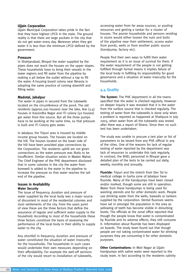#### **Ujjain Corporation**

Ujjain Municipal Corporation takes pride in the fact that they have highest LPCD in the state. The ground reality is that there are large pockets in the city that do not get water every day. Moreover when they get water it is less than the minimum LPCD defined by the government.

#### **Pressure**

In Shahjanabad, Bhopal the water supplied by the pipes does not reach the houses on the upper slopes. These households have to bring their vessels in the lower regions and fill water from the pipeline by making a pit below the outlet without a tap to fill the water. A housing board colony near Berasia is adopting the same practice of coming downhill and filling water.

#### **Madotal, Jabalpur**

The water in pipes in secured from the tubewells located on the circumference of the pond. The old residents (approx.200 houses) near the lake, few  $(3-4)$ houses in Kasondha Nagar and ITI colony (50 houses) get water from this source. But all the three pumps have to be working at the same time, so that pressure is built and ITI Colony gets water.

In Jabalpur, the Tripuri area is housed by middle income group houses. The houses are located on the hill. The houses located on the lower side of the hill have been provided pipe connections by the Corporation. The residents uphill are not given connections as the water pressure was likely to be insufficient. Similar situation exists in Madan Mahal. The Chief Engineer of the PHE department disclosed that in some colonies in the city the water from borewell is added to the water in the pipeline to increase the pressure so that water reaches the tail end of the pipeline.

#### **Issues in Availability Water Security**

The issue of frequency, duration and pressure of water supplied by the local body was a major source of discontent in most of the residential colonies and slum settlements of the city. From the users point of view these are the three factors that define the assurance of regular and sufficient water supply to the household. According to most of the households these three factors constitute the basis of assessing the performance of the local body in their ability to supply water to the city.

Any shortfall in frequency, duration and pressure of water constituted the situation of water insecurity for the households. The households in such cases would undertake their own measures depending on their affordability. For example the well-off sections of the city would resort to installation of tubewells,

accessing water from far away sources, or pooling resources and getting a tanker for a cluster of houses. The poorer households and persons residing in slums would either loosen the nuts and bolts of the pipeline near their settlement, access water from ponds, wells or from another public source (handpump, factory etc).

People find their own ways to fulfill their water requirement as it is an issue of survival for them. If the water requirement of the people is not getting fulfilled through formal means it implies failure of the local body in fulfilling its responsibility for good governance and a situation of water insecurity for the households.

# **4.4 Quality**

**The System:** The PHE department in all the towns specified that the water is checked regularly. However on deeper inquiry it was revealed that it is the water from the surface source that is checked regularly. The testing of water from the tubewells is done only when a problem is reported as happened at Shahpura in July 2003, when water from all the tubewells was tested after there was a report of illness. Since then no such test has been undertaken.

The study was unable to procure a test plan or list of parameters to be tested from any PHE official in any of the cities. One of the reasons for lack of regular testing of water reported by the department was lack of resources to undertake this task regularly. In contrast, the BHEL personnel in Bhopal gave a detailed plan of the tests to be carried out daily, weekly, monthly and annually.

**Fluoride:** Tripuri and the stretch from Dev Tal to medical college in Garha zone of Jabalpur have fluoride. Many of the handpumps have been closed and/or marked, though some are still in operation. Water from these handpumps is being used for washing utensils and for other domestic work. People use drinking water from the wells, bawadis or tankers supplied by the corporation. Dental fluorosis seems have set in amongst the population in the area as yellowing of teeth has become visible in disturbing levels. The officials at the zonal office reported that though the people know that water is contaminated by fluoride and its adverse effects, they still consume it. Information about fluoride has been displayed on boards. The study team found out that though people are not taking contaminated water for drinking purposes they are consuming it for other domestic purposes.

**Other Contaminations:** In Moti Nagar at Ujjain handpumps with saline water were reported to the study team. In fact according to the residents salinity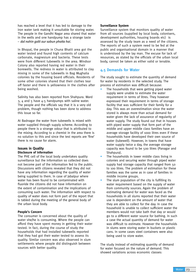has reached a level that it has led to damage to the iron water tank making it unsuitable for storing water. The people in the Gandhi Nagar area shared that water in the wells and one handpump has a strange taste – *dal nahin galti aur sabun phatta hai*.

In Bhopal, the people in Chuna Bhatti area got the water tested and found high contents of calcium carbonate, magnesium and bacteria. These tests were from different tubewells in the area. Windsor Colony also reported having red water in their borewells. The redness in water is attributed to clay mixing in some of the tubewells in Bag Mughalia colonies by the housing board officials. Residents of some other colonies shared that their clothes tear off faster and there is yellowness in the clothes after being washed.

Salinity has also been reported from Shahpura. Ward 3, 4 and 5 have 4-5 handpumps with saline water. The people and the officials say that it is a very old problem, though nothing has been done to address this issue so far.

At Badnagar the water from tubewells is mixed with water supplied through supply scheme. According to people there is a strange odour that is attributed to the mixing. According to a chemist in the area there is no solution to this and since the test reports are 'fine' there is no cause for alarm.

#### **Issues in Quality Disclosure of information**

The PHE cell of the local body undertakes quality surveillance but the information so collected does not become part of the information fed to the public. Discussions with citizens revealed that they did not have any information regarding the quality of water being supplied to them. In case of Jabalpur where water has been found to be contaminated with fluoride the citizens did not have information on the extent of contamination and the implications of consuming such water. The information with respect to quality of water does not form part of the report that is tabled during the meeting of the general body of the urban local body.

#### **People's Concern**

The consumer is concerned about the quality of water she/he is consuming. Where the people can afford they have spent money in getting their water tested. In fact, during the course of study the households that had installed tubewells reported that they had got their water tested to assess its quality. Similar concern was also observed in slum settlements where people did distinguish between sources with better quality.

#### **Surveillance System**

Surveillance system that monitors quality of water from all sources (supplied by local body, colonisers, development authorities, housing boards etc) is assessed by the study team as a need of the citizens. The reports of such a system need to be fed at the public and organisational domain in a manner that is understood by the lay man. The excuse for lack of resources, as stated by the officials of the urban local body, cannot be taken as either valid or tenable.

# **4.5 Demands for Water**

The study sought to estimate the quantity of demand for water by residents in the selected study. The process of estimation was difficult because:

- The households that were getting piped water supply were unable to estimate the water requirement in terms of litres. They however expressed their requirement in terms of storage facility that was sufficient for their family for a day. This was an overestimation since the water stored is always more than actual demand for water given the lack of assurance of regularity of water supply. The study found out that in houses with piped water supply that form part of the middle and upper middle class families have an average storage facility of 1000 litres even if these households have developed their own source of water (tubewell). However, in towns that have water supply twice a day, the average storage capacity was found to be 500 litres (Panagar and Shahpura).
- The households in lower middle class living in colonies and securing water through piped water supply had storage capacity that ranged from 50 to 100 litres. The problem of estimation for these families was the same as in case of families in middle income groups.
- The slum population of the city is fulfilling its water requirement based on the supply of water from community sources. Again the problem of estimating demand for water was faced as the households in all slums reported that their water use is dependent on the amount of water that they are able to collect for the day. In case the household is unable to collect sufficient water the members would not take bath that day or would go to a different water source for bathing. In such a case the actual quantity of demand for water was difficult to estimate. However the households in slums were storing water in buckets or plastic cans. In some cases steel containers were also being used to store water.

The study instead of estimating quantity of demand for water focused on the nature of demand. This showed variations across economic classes: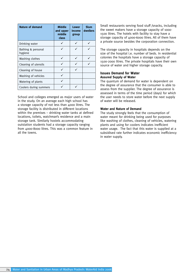| <b>Nature of demand</b>       | <b>Middle</b><br>and upper<br>middle<br>class | <b>Lower</b><br>income<br>group | <b>Slum</b><br>dwellers |
|-------------------------------|-----------------------------------------------|---------------------------------|-------------------------|
| Drinking water                |                                               |                                 |                         |
| Bathing & personal<br>hygiene |                                               |                                 |                         |
| Washing clothes               |                                               |                                 |                         |
| Cleaning of utensils          |                                               |                                 |                         |
| Cleaning of house             |                                               | ✓                               |                         |
| Washing of vehicles           |                                               |                                 |                         |
| Watering of plants            |                                               |                                 |                         |
| Coolers during summers        |                                               |                                 |                         |

School and colleges emerged as major users of water in the study. On an average each high school has a storage capacity of not less than 4000 litres. The storage facility is distributed in different locations within the premises – drinking water tanks at defined locations, toilets, watchman's residence and a main storage tank. Similarly hostels accommodating outstation students had a storage capacity ranging from 4000-8000 litres. This was a common feature in all the towns.

Small restaurants serving food stuff /snacks, including the sweet makers have a storage capacity of 1000- 1500 litres. The hotels with facility to stay have a storage capacity of 4000-6000 litres. All of them have a private source besides the corporation connection.

The storage capacity in hospitals depends on the size of the hospital i.e. number of beds. In residential colonies the hospitals have a storage capacity of 1500-2000 litres. The private hospitals have their own source of water and higher storage capacity.

#### **Issues Demand for Water Assured Supply of Water**

The quantum of demand for water is dependent on the degree of assurance that the consumer is able to assess from the supplier. The degree of assurance is assessed in terms of the time period (days) for which the user needs to store water before the next supply of water will be released.

#### **Water and Nature of Demand**

The study strongly feels that the consumption of water meant for drinking being used for purposes like washing of clothes, cleaning of vehicles, watering plants and using for coolers indicates inefficient water usage. The fact that this water is supplied at a subsidised rate further indicates economic inefficiency in water supply.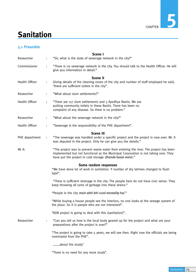

# **Sanitation**

# **5.1 Preamble**

|                |                      | Scene I                                                                                                                                                                                                                                     |
|----------------|----------------------|---------------------------------------------------------------------------------------------------------------------------------------------------------------------------------------------------------------------------------------------|
| Researcher     |                      | "Sir, what is the state of sewerage network in the city?"                                                                                                                                                                                   |
| Commissioner   | $\ddot{\phantom{a}}$ | "There is no sewerage network in the city. You should talk to the Health Officer. He will<br>give you information in detail."                                                                                                               |
|                |                      | <b>Scene II</b>                                                                                                                                                                                                                             |
| Health Officer | $\ddot{\phantom{a}}$ | Giving details of the cleaning zones of the city and number of staff employed he said,<br>"there are sufficient toilets in the city".                                                                                                       |
| Researcher     | $\ddot{\cdot}$       | "What about slum settlements?"                                                                                                                                                                                                              |
| Health Officer | $\vdots$             | "There are 117 slum settlements and 5 Ayodhya Bastis. We are<br>putting community toilets in these Bastis. There has been no<br>complaint of any disease. So there is no problem."                                                          |
| Researcher     | $\ddot{\phantom{a}}$ | "What about the sewerage network in the city?"                                                                                                                                                                                              |
| Health Officer | $\ddot{\cdot}$       | "Sewerage is the responsibility of the PHE department".                                                                                                                                                                                     |
|                |                      | <b>Scene III</b>                                                                                                                                                                                                                            |
| PHE department | $\ddot{\cdot}$       | "The sewerage was handled under a specific project and the project is now over. Mr. X<br>was deputed in the project. Only he can give you the details."                                                                                     |
| Mr X:          |                      | "The project was to prevent waste water from entering the river. The project has been<br>implemented but not functional as the Municipal Corporation is not taking over. They<br>have put the project in cold storage (thande baste mein)." |
|                |                      |                                                                                                                                                                                                                                             |
|                |                      | Some random responses<br>"We have done lot of work in sanitation. Y number of dry latrines changed to flush<br>type".                                                                                                                       |
|                |                      | "There is sufficient drainage in the city. The people here do not have civic sense. They<br>keep throwing all sorts of garbage into these drains."                                                                                          |
|                |                      | "People in the city mein abhi bhi rural mentality hai."                                                                                                                                                                                     |
|                |                      | "While buying a house people see the interiors, no one looks at the sewage system of<br>the place. So it is people who are not interested".                                                                                                 |
|                |                      | "ADB project is going to deal with this (sanitation)".                                                                                                                                                                                      |
| Researcher     | $\ddot{\cdot}$       | "Can you tell us how is the local body geared up for the project and what are your<br>preparations after the project is over?"                                                                                                              |
|                |                      | "The project is going to take 5 years, we will see then. Right now the officials are being<br>nominated from the PHE".                                                                                                                      |
|                |                      | about the study?                                                                                                                                                                                                                            |
|                |                      | "There is no need for any more study".                                                                                                                                                                                                      |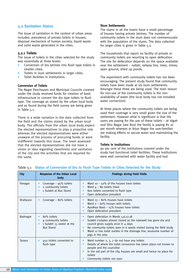# **5.2 Sanitation Status**

The issue of sanitation in the context of urban areas includes: prevalence of private toilets in houses; disposal mechanism of human excreta; liquid waste and solid waste generated in the cities.

#### **5.2.1 Toilets**

The issue of toilets in the cities selected for the study was essentially at three levels:

- Conversion of dry latrines into flush type toilets in smaller cities.
- Toilets in slum settlements in larger cities.
- Toilet facilities in institutions.

#### **Conversion of Toilets**

The Nagar Panchayats and Municipal Councils covered under the study received funds for creation of basic infrastructure to convert the dry type toilets to flush type. The coverage as stated by the urban local body and as found during the field survey are being given in Table 5.1.

There is a wide variation in the data collected from the field and the claims stated by the urban local body. The officials from the urban local body expect the elected representatives to play a proactive role whereas the elected representatives were either unaware of the process of procuring funds or were indifferent towards this issue. The team assessed that the elected representatives did not have a vision or idea regarding cleanliness and sanitation of the city and the activities that are required for the same.

#### **Slum Settlements**

The slums in all the towns have a small percentage of houses having private latrines. The number of community toilets in the slum does not commensurate with the population of the slums. The data collected for larger cities is given in Table 5.2.

The households that report no facility of private or community toilets are resorting to open defecation. The site for defecation depends on the space available near the settlement – nallah, railway line, trees, mines, open ground, dried up ponds.

The experiment with community toilets has not been encouraging. The present study found that community toilets have been made at six slum settlements. Amongst these three are being used. The main reason for non-use of the community toilets is the nonavailability of water (the local body has not installed water connection).

At three places where the community toilets are being used their coverage is very small given the size of the settlement. However what is significant is that the users are paying for the use of these toilets – at Idgah and Shiv Nagar (see Box) the family is paying Rs 10 per month whereas at Arjun Nagar the user-families are making efforts to secure water and maintaining the facility.

#### **Toilets in Institutions**

90 per cent of the institutions covered under the study had functional toilet facilities. These institutions were well connected with water facility and had

| <b>City</b> | <b>Response of the Urban Local</b><br>body                                          | <b>Findings during Field Visits</b>                                                                                                                                                                                                                                                                                                                       |
|-------------|-------------------------------------------------------------------------------------|-----------------------------------------------------------------------------------------------------------------------------------------------------------------------------------------------------------------------------------------------------------------------------------------------------------------------------------------------------------|
| Panagar     | Coverage $-95%$ toilets<br>2 community toilets<br>1 Sulabh at Bus Stand             | Ward $10 - 50\%$ of the houses have toilets<br>$\bullet$<br>Ward $4 -$ No toilets there<br>$\bullet$<br>800 toilets converted to flush type<br>$\bullet$<br>Open defecation prevalent<br>٠                                                                                                                                                                |
| Shahpura    | Coverage $-$ 80% toilets                                                            | Ward $13 - 80\%$ houses have toilets<br>$\bullet$<br>Ward $2 - 60\%$ houses with toilets<br>$\bullet$<br>Ayodhya Basti - 15% houses have toilets<br>Open defecation prevalent<br>٠                                                                                                                                                                        |
| Badnagar    | 80% toilets<br>9 community toilets<br>1 Sulabh 15 seater at the<br><b>Bus Stand</b> | Open defecation in Wards 5,6,17,18<br>$\bullet$<br>Sulabh Complex almost closed as the tubewell has gone dry and<br>٠<br>council gives supply once in 4 days<br>No community toilets seen in 6 wards visited during the field study<br>$\bullet$<br>Ward 12 has toilet outlets in the drainage line, excessive number of<br>$\bullet$<br>pigs in the area |
| Tarana      | 450 toilets converted to<br>flush type                                              | Ward number 2, 3, 7 do not have any toilets<br>٠<br>Details of where the toilet conversion has taken place not known to<br>٠<br>people and the councillor<br>In the old part of the city, houses are small and hence no place for<br>$\bullet$<br>toilets<br>Community toilets not seen                                                                   |

#### Table 5.1 **Status of Conversion of Dry to Flush Type Toilets in Cities Selected for the Study**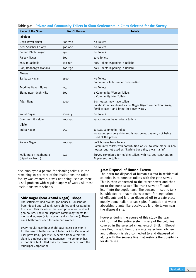| <b>Name of the Slum</b>                          | <b>No. Of Houses</b> | <b>Toilets</b>                                                                                                                                     |
|--------------------------------------------------|----------------------|----------------------------------------------------------------------------------------------------------------------------------------------------|
| Jabalpur                                         |                      |                                                                                                                                                    |
| Deen Dayal Nagar                                 | 600-700              | No Toilets                                                                                                                                         |
| Near Sanchar Colony                              | 500-600              | No Toilets                                                                                                                                         |
| Behind Bhola Nagar                               | 150                  | No Toilets                                                                                                                                         |
| Rajeev Nagar                                     | 600                  | 10% Toilets                                                                                                                                        |
| Muslim Mohalla                                   | 100-125              | 30% Toilets (Opening in Nallah)                                                                                                                    |
| Ganj Badhaiyya Mohalla                           | 200-250              | 40% Toilets (Opening in Nallah)                                                                                                                    |
| <b>Bhopal</b>                                    |                      |                                                                                                                                                    |
| Sai baba Nagar                                   | 1600                 | No Toilets<br>Community Toilet under construction                                                                                                  |
| Ayodhya Nagar Slums                              | 750                  | No Toilets                                                                                                                                         |
| Slums near Idgah Hills                           | 600                  | 4 Community Women Toilets<br>4 Community Men Toilets                                                                                               |
| Arjun Nagar                                      | 1000                 | 6-8 houses may have toilets<br>Sulabh Complex closed as no Nagar Nigam connection. 20-25<br>families use it and bring their own water.             |
| Rahul Nagar                                      | 100-125              | No Toilets                                                                                                                                         |
| One tree Hills slum                              | 200-250              | 15-20 houses have private toilets                                                                                                                  |
| <b>Ujjain</b>                                    |                      |                                                                                                                                                    |
| Indira Nagar                                     | 250                  | 10 seat community toilet<br>No water, gets very dirty and is not being cleaned, not being<br>used at the present                                   |
| Rajeev Nagar                                     | 200-250              | 40% houses have toilets<br>Community toilets with contribution of Rs.120 were made in 200<br>houses but not used as "kachhe bane the, diwar nahin" |
| Mulla pura + Raghupura<br>247<br>(Ayodhya basti) |                      | Survey completed for making toilets with Rs. 200 contribution.<br>At present no toilets                                                            |

#### Table 5.2 **Private and Community Toilets in Slum Settlements in Cities Selected for the Survey**

also employed a person for cleaning toilets. In the remaining 10 per cent of the institutions the toilet facility was created but was not being used as there is still problem with regular supply of water. All these institutions were schools.

#### **Shiv Nagar (near Anand Nagar), Bhopal**

The settlement had around 300 houses. Households from Piplani and Lal Tanki were shifted and resettled in this slum. This increased the slum population to about 500 houses. There are separate community toilets for men and women (7 for women and 12 for men). There are 2 bathrooms each for men and women.

Every regular user-household pays Rs.10 per month for the use of bathroom and toilet facility. Occasional user pays Rs.2/- per visit. A person from within the slum is employed for maintenance. The complex has a 1000 litre tank filled daily by tanker service from the Municipal Corporation.

#### **5.2.2 Disposal of Human Excreta**

The norm for disposal of human excreta in residential colonies is to connect toilets with the gate sewer. This is then connected to the street sewer and then on to the trunk sewer. The trunk sewer off loads itself into the septic tank. The sewage in septic tank is subjected to anaerobic treatment for separation of effluents and is then disposed off to a safe place mostly some nallah or soak pits. Plantation of water absorbing plants like eucalyptus is undertaken near the disposal site.

However during the course of this study the team did not find the entire system in any of the colonies covered in the selected cities, except BHEL in Bhopal (see Box). In addition, the waste water from kitchen and bathroom is also connected to and disposed off along with the sewage line that restricts the possibility for its re-use.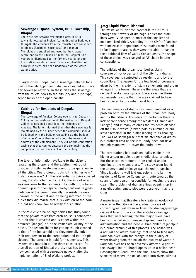### **Sewerage Disposal System, BHEL Township, Bhopal**

There are two sewage treatment plants in BHEL township located at Piplani (0.5mgd) and at Barkheda (2 mgd). The effluents from the township are converted to biogas (functional since 1964) and manure. The biogas is supplied and used by the chappati centre and to the kitchen of Kasturba Hospital. The manure is distributed to the farmers nearby and to the horticulture department. Extensive plantation of eucalyptus trees has been undertaken at the waste water outlet.

In larger cities, Bhopal had a sewerage network for a part of the city. Ujjain and Jabalpur cities did not have any sewerage network. In these cities the sewerage from the toilets flows to the pits (dry and flush type), septic tanks or the open nallahs.

#### **Catch 22 for Residents of Deepak, Bhopal**

The sewerage of Amaltas Colony opens in to Deepak Colony in the neighbourhood. The residents of Deepak Colony complained about it to the residents of Amaltas. The latter informed them that the sewerage is maintained by the builder hence the complaint should be lodged with the builder. On calling up the builder of Amaltas Colony, they asked about the name and address of the complainant. They cut off the connection saying that they cannot entertain the complaint as the complainant is not a resident of their colony.

The level of information available to the citizens regarding the proper and the existing method of disposal of toilet waste was found to be quite low in all the cities. One professor puts it in a lighter vein "it finds its own way". All the residential colonies covered during the study had septic tanks, the size of which was unknown to the residents. The outlet from tanks opened up into open space nearby that was in gross violation of the norm. Generally the residents were unaware of the outlet and on being informed of the outlet they did realise that it is violation of the norm but did not know how to rectify the situation.

In the 'old city' area of larger cities the study found that the private toilet from each house is connected to a pit that is covered and is either within the premises (aangan) or in the immediate vicinity of the house. The responsibility for getting the pit cleaned is that of the household and they normally lodge their requirement to the corporation and get the pit cleaned. The sweeper is paid for his services. This system was found in all the three cities except for a small portion of Bhopal old city that has been now connected with a sewerage network after the implementation of Bhoj Wetland project.

## **5.2.3 Liquid Waste Disposal**

The waste water disposal system in the cities is through the network of drainage. Earlier the drain lines were **'V'** shaped in most of the smaller and medium sized cities. According to the CMO of Panagar, with increase in population these drains were found to be inappropriate as they were not able to handle the additional flow of water. Consequently, the shape of these drains was changed to **'U'** shape in later constructions.

The officials of the urban local bodies claim coverage of 50-70 per cent of the city from drains. This coverage is contested by residents and by the councillors. The reason for the low level of coverage given by them is extent of slum settlements and urban villages in the towns. These are the areas that are deficient in drainage system. The area under these settlements is more than the area claimed to have been covered by the urban local body.

The maintenance of drains has been identified as a problem both by the officials of the urban local body and by the citizens. According to the former there is lack of civic sense among the residents (Tarana and Panagar) and in many colonies the residents dispose off their solid waste (broken pots by Kumhar, or bidi leaves remains) in the drains leading to its choking. The CMO of Badnagar felt that maintenance of drains is a problem area as the local body does not have enough manpower to cover the entire town.

The corporations had drainage nallis made in the higher and/or middle, upper middle class colonies. But these too were found to be choked and/or opening at the wrong place. The study team found the underground drainage was choked in Kanchen Vihar, Jabalpur a well laid out colony. In Ujjain the residents of Revenue Colony contribute towards the salary of one person responsible for keeping the area clean. The problem of drainage lines opening up in a neighbouring empty plot were observed in all the cities.

A major issue that threatens to create an ecological disaster in the cities is the gradual process of converting natural drainage lines into drainage/sewage disposal lines of the city. The erstwhile drainage lines that were feeding into the major rivers have been converted into drainage disposal lines by the administration and the people. Omti Nallah of Jabalpur is a prime example of this process. The nallah was a natural and active drainage that used to feed into Narmada river. With the change in the quality of water flowing from the nallah the quality of water in Narmada river has been adversely affected. A part of the sewage line of Bhopal opens up in a nallah near Hoshangabad Road. Even the small towns show the same trend where the nallahs feed into rivers without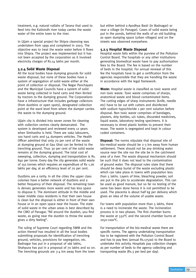treatment, e.g. natural nallahs of Tarana that used to feed into the Kalisindh river today carries the waste water of the entire town to the river.

In Ujjain a special project for Shipra cleansing was undertaken from 1999 and completed in 2003. The objective was to treat the waste water before it flows into Shipra. The project was implemented but it has not been accepted by the corporation as it involved electricity charges of Rs.14 lakhs per month.

#### **5.2.4 Solid Waste Disposal**

All the local bodies have dumping grounds for solid waste disposal, but none of these bodies have a system of segregation of solid waste either at the point of collection or disposal. The Nagar Panchayats and the Municipal Councils have a system of solid waste being collected in hand carts and then ferried by tractors to the dumping ground. The Corporations have a infrastructure that includes garbage collectors (from dustbins or open spots), designated collection point at the ward level from where the dumper carries the waste to the dumping ground.

Ujjain city is divided into seven zones for cleaning with collection centres clearly demarcated. The system is developed and reviewed every 12 years when Simhastha is held. There are 1060 labourers, 100 hand carts and 54 dumpers vehicles. The Health Officer admitted that only 70 per cent of the waste at dumping ground at Gau Ghat can be ferried to the trenching ground. Thus 30 per cent of the solid waste remains at the dumping ground. The total cost of sweeping, collection, dumping and transportation is Rs. 840 per tonne. Every day the city generates solid waste of 150 tonnes which requires an expenditure of Rs 1.26 lakhs per day, at an efficiency level of 70 per cent.

Dustbins are a rarity. In all the cities the upper class colonies have a better network of dustbins and a better frequency of their disposal. The remaining town is denser, generates more waste and has less space to dispose it. The dominant attitude in the middle and lower middle class residents is that their own house is clean but the disposal is either in front of their own house or in an open space near the house. The state of solid waste in the urban areas is best described by the CMO of Panagar, "All around the dustbin, you find waste, as going near the dustbin to throw the waste gives a dirty feeling".

The ruling of Supreme Court regarding SWM and the action thereof has resulted in all the local bodies submitting proposals for identification of trenching ground, vehicles, provisions for segregation, etc. Badnagar has put in a proposal of 166 lakhs, Shahpura has put in a proposal of 70 lakhs and so on. The trenching grounds are 3-4 km away from the town

but either behind a Ayodhya Basti (in Badnagar) or near a village (in Panagar). Cases of solid waste being put in the ponds, behind the walls of an old building as open dumping space (urban villages) and on the streets was observed everywhere.

#### **5.2.5 Hospital Waste Disposal**

Hospital waste falls within the purview of the Pollution Control Board. The hospitals or any other institutions generating biomedical waste have to pay authorisation fees to the Board. The fee is based on the number of beds in the hospital. For annual renewal of this fee the hospitals have to get a certification from the agencies responsible that they are handling the waste in accordance with the legal framework.

**Waste:** Hospital waste is classified as toxic waste and non toxic waste. Toxic waste comprises of sharps, anatomical waste and blood contaminated items. The cutting edges of sharp instruments (knife, needle etc) have to be cut with cutters and disinfected with sodium hypochloride 1 per cent solution before disposal. Non toxic waste comprises of bandages, plasters, drip bottles, u/v tubes, discarded medicines, liquid waste, laboratory testing specimens. It is necessary to shred plastic bottles to prevent their reuse. The waste is segregated and kept in colour coded containers.

**Disposal:** The norms stipulate that disposal site of bio-medical waste should be 2-3 km away from human settlement. There should not be any drinking water source near the site nor the site be in the catchment area of a river. The waste disposal mechanism should be such that it does not lead to the contamination of ground water. The disposal rules state that there should be deep burial of the waste excluding plastic which can take place in towns with population less than 5 lakhs. Layers of lime, bleaching powder, soil are put in the pits to accelerate degradation. This can be used as good manure, but so far no testing of the same has been done hence it is not permitted to be used. The placenta is about half kg per delivery which gives an idea of the volume of usable waste.

For towns with population more than 5 lakhs, there is a need to incinerate the waste. The incineration process is in two phases. The first chamber burns the waste at 550°C and the second chamber burns at 1050-1100°C.

For transportation of the bio-medical waste there are specific norms. The agency undertaking transportation has to be registered with the Pollution Control Board and has to pay fees (annual Rs.17500) to the Board to undertake this activity. Hospitals pay collection charges as per number of beds to the agency collecting and transporting waste (Rs.3 per bed per day).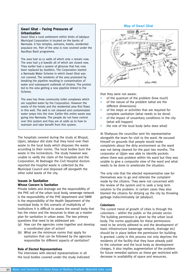#### **Gwari Ghat – Facing Pressures of Urbanisation**

Gwari Ghat a rural settlement within limits of Jabalpur Municipal Corporation is located on the banks of Narmada. It has temples, ashrams, hotels, residential populace etc. Part of the area is now covered under the Ayodhya Basti programme.

The area had 10-12 wells of which only 2 remain now. The area had 5-6 bawdis all of which are closed now. They earlier had a system of ghooras that has now been replaced by dustbins. The Corporation started a Narmada Water Scheme in which Gwari Ghat was not covered. The residents of the area protested by breaking the pipeline resulting in contamination of water and subsequent outbreak of cholera. The protest led to the area getting a new pipeline linked to the Scheme.

The area has three community toilet complexes which are supplied water by the Corporation. However the waste of the hotels and the residential area first flows in this well. The well is not cleaned and contaminated water seeps into the river. Earlier this entire waste was going into Narmada. The people do not have control over this system and they are at odds as to how to maintain and take benefit from this system.

The hospitals covered during the study at Bhopal, Ujjain, Jabalpur did state that they hand over their waste to the local body which disposes the waste according to their norms. The local bodies burn the waste in the incinerators. The study however was unable to verify the claim of the hospitals and the Corporation. At Badnagar the Civil Hospital doctors reported the hospital waste is collected by the Municipal Council and disposed off alongwith the other solid waste of the city.

#### **Issues in Sanitation Whose Concern is Sanitation**

# Private toilets and drainage are the responsibility of

the PHE cell of the urban local body, sewerage network is the responsibility of the PHE department and SWM is the responsibility of the Health Department of the municipal body. In this scenario of multiplicity of institutions it is difficult to assess the overall body that has the vision and the resources to draw up a master plan for sanitation in urban areas. The two primary questions that need to be addressed are:

- (a) How can the agencies come together and develop a coordinated plan of action?
- (b) What are the minimum norms that apply for sanitation that can be followed by the agencies responsible for different aspects of sanitation?

#### **Role of Elected Representatives**

The interviews with elected representatives in all the local bodies covered under the study indicated

# **Map of Gwari Ghat**



that they were not aware:

- of the quantum of the problem (how much)
- of the nature of the problem (what are the different dimensions)
- of the steps or activities that are required for complete sanitation (what needs to be done)
- of the impact of unsanitary conditions in the city (what will happen)
- the role of the local body (who does what)

At Shahpura the councillor sent his representative alongwith the team for visit to the ward. He excused himself on grounds that people would make complaints about the dirty environment as the ward was not being cleaned for the past two months. The corporator at Ujjain was able to identify pockets where there was problem within his ward but they was unable to give a composite view of the ward and what needs to be done to ameliorate the situation.

The only role that the elected representative saw for themselves was to go and reiterate the complaint made by the citizens. They were not concerned with the review of the system and to seek a long term solution to the problem. In certain cases they also blamed the citizens for dirtying up the city by throwing garbage indiscriminately (at Jabalpur).

#### **Colonisers**

The current trend of growth of cities is through the colonisers – within the public or the private sector. The building permission is given by the urban local body. The norms applicable for these permissions need to be strictly adhered to and the development of basic infrastructure (sewerage network, drainage etc) should be in place before the permission for building is granted. Laxity in this process not only deprives the residents of the facility that they have already paid to the coloniser and the local body as development charges, it also implies augmentation of the problem for future remedial options as these get restricted with decrease in availability of space and resources.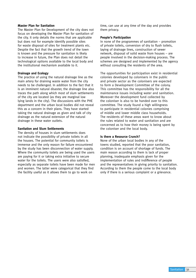#### **Master Plan for Sanitation**

The Master Plan for Development of the city does not focus on developing the Master Plan for sanitation of the city. It only details the norms that are applicable but does not for example identify possible sites for waste disposal of sites for treatment plants etc. Despite the fact that the growth trend of the town is known and the pressure for sanitation is likely to increase in future, the Plan does not detail the technological options available to the local body and the institutional mechanism available to it.

#### **Drainage and Ecology**

The practice of using the natural drainage line as the main artery for draining waste water from the city needs to be challenged. In addition to the fact that it is an imminent natural disaster, the drainage line also traces the path along which most of slum settlements of the city are located (as they are marginal low lying lands in the city). The discussions with the PHE department and the urban local bodies did not reveal this as a concern in their plans. They have started taking the natural drainage as given and talk of city drainage as the natural extension of the natural drainage in these water outlets.

#### **Sanitation and Slum Settlements**

The density of houses in slum settlements does not indicate the possibility of private toilets in all the houses. The potential for community toilets is immense and the only reason for failure encountered by the study has been disconnection of water supply. Where the community toilets are being used the users are paying for it or taking extra initiative to secure water for the toilets. The users were also satisfied, especially as separate toilets have been made for men and women. The latter were categorical that they find the facility useful as it allows them to go to work on

time, can use at any time of the day and provides them privacy.

#### **People's Participation**

In none of the programmes of sanitation – promotion of private toilets, conversion of dry to flush toilets, laying of drainage lines, construction of sewer network, disposal of solid waste from houses – are people involved in the decision-making process. The schemes are designed and implemented by the agency without consulting the residents of the area.

The opportunities for participation exist in residential colonies developed by colonisers in the public and private sector as the colonisers are expected to form a Development Committee of the colony. This committee has the responsibility for all the maintenance issues including water and sanitation. Moreover the development fund collected by the coloniser is also to be handed over to this committee. The study found a high willingness to participate in residential colonies comprising of middle and lower middle class households. The residents of these areas want to know about the rules related to water and sanitation and are concerned as to how their money is being spent by the coloniser and the local body.

#### **Is there a Resource Crunch?**

None of the urban local bodies in any of the towns studied, reported that the poor sanitation, condition is on account of shortage of funds. The main reason according to them is lack of proper planning, inadequate emphasis given for the implementation of rules and indifference of people and the representatives in giving priority to sanitation. According to them the people come to the local body only if there is a serious complaint or a grievance.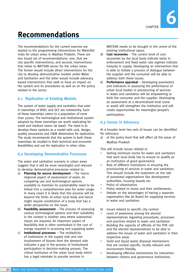# **Recommendations**

The recommendations for the current exercise are related to the programming interventions for WaterAid India for urban areas in Madhya Pradesh. There are two broad set of recommendations: one, that are city specific interventions; and second, interventions that relate to WATSAN sector for the urban areas. The former would include direct interventions for the city to develop demonstrative models under Water and Sanitation and the latter would include advocacy based interventions that seek to have an impact on the system and its procedures as well as on the policy related to the sector.

# **6.1 Replication of Existing Models**

The system of water supply and sanitation that exist in townships of BHEL and GCF are noteworthy. Each of these townships caters to a population of more than 50000. The technological and institutional system adopted by these townships are worth replicating for small and medium towns (at least). The need is to develop these systems as a model with cost, design, quality assurances and O&M dimensions for replication. The study recommends that the system in both these townships be studied in their technical and economic feasibilities and use for replication in other cities.

# **6.2 Developing Demonstrative Processes**

The water and sanitation scenario in urban areas suggest that it will be more meaningful and relevant to develop demonstrative processes related to:

- a) **Planning for source development** The macro /regional aspect of assessment of water, its competing use and technological options available to maintain its sustainability need to be linked into a comprehensive plan for water usage. In many cases it is likely that this process will be beyond the limits of urban local body and hence might require constitution of a body that has a wider perspective on the issue.
- b) **Feasibility assessment** The process of assessing various technological options and their suitability in the context is another area where substantial inputs are required. An important aspect of feasibility that is often overlooked is the cost of energy required in accessing and supplying water.
- c) **Institutional processes** The multiplicity of institutions in the supply side and non involvement of forums from the demand side indicates a gap in the process of institutional participation in decision-making process. The critical institution of the urban local body which has a legal mandate to provide services in

WATSAN needs to be brought in the centre of the existing institutional space.

- d) **Cost recoveries**  The current level of cost recoveries by the local body indicate laxity in enforcement and fixed water rate regimes indicate inequity in supply. Developing an intervention that is able to initiate a process of dialogue between the supplier and the consumer will be able to address both these issues.
- e) **Performance appraisal** Developing parameters and indicators in assessing the performance of urban local bodies in provisioning of services in water and sanitation will be empowering to both the consumer and the supplier. Developing an assessment at a decentralised level (zone or ward) will strengthen the institution and will create opportunities for meaningful people's participation.

# **6.3 Issues in Advocacy**

At a broader level two sets of issues can be identified for advocacy:

a) at the policy level that will affect all the areas of Madhya Pradesh

This will include issues related to

- Setting minimum norms for water and sanitation that each local body has to ensure to qualify as an institution of good governance.
- Role of different institutions in ensuring the provisioning of services in water and sanitation. This should include the statement on the role of parastatal organisations like development authorities, housing boards etc.
- Policy of urbanisation.
- Policy related to slums and their entitlements.
- Debate on the advantages of having a separate organisation like Jal Board for supplying services in water and sanitation.
- b) Issues related to specific city context
- Level of awareness among the elected representatives regarding procedures, processes and practices related to water and sanitation
- Building the capacity of officials of the PHE cell and the elected representatives to be able to address the issues of water and sanitation in their respective areas
- Solid and liquid waste disposal mechanisms that are context specific, locally relevant and environment friendly.
- Developing effective mechanisms for interaction between citizens and governance institutions.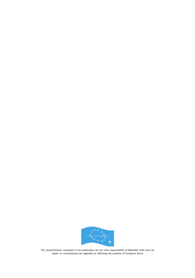

The research/views contained in the publication are the sole responsibility of WaterAid India and can under no circumstances be regarded as reflecting the position of European Union